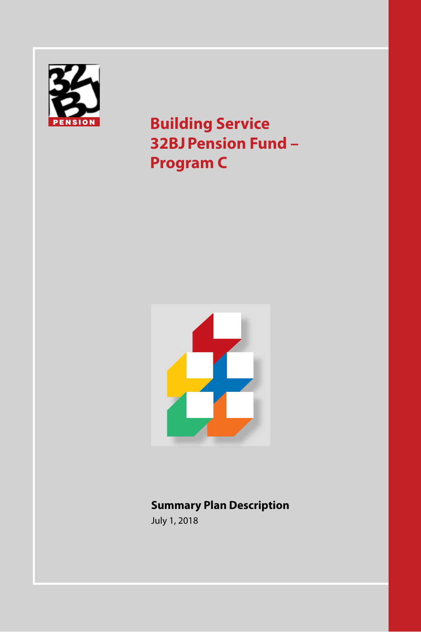

**Building Service 32BJPension Fund – Program C**



## **Summary Plan Description**

July 1, 2018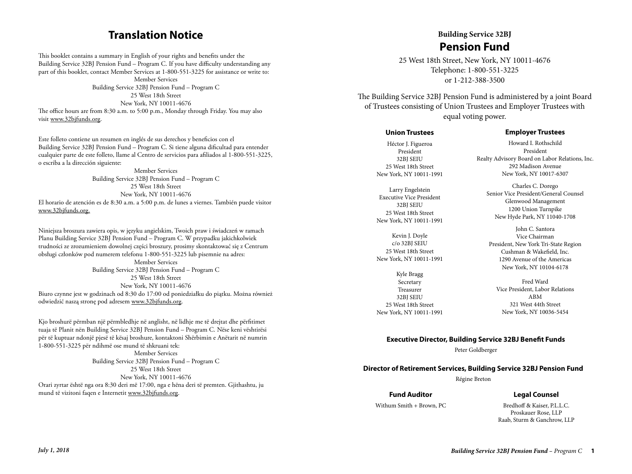## **Translation Notice**

This booklet contains a summary in English of your rights and benefits under the Building Service 32BJ Pension Fund – Program C. If you have difficulty understanding any part of this booklet, contact Member Services at 1-800-551-3225 for assistance or write to:

Member Services Building Service 32BJ Pension Fund – Program C 25 West 18th Street New York, NY 10011-4676 The office hours are from 8:30 a.m. to 5:00 p.m., Monday through Friday. You may also visit www.32bjfunds.org.

Este folleto contiene un resumen en inglés de sus derechos y beneficios con el Building Service 32BJ Pension Fund – Program C. Si tiene alguna dificultad para entender cualquier parte de este folleto, llame al Centro de servicios para afiliados al 1-800-551-3225, o escriba a la dirección siguiente:

Member Services Building Service 32BJ Pension Fund – Program C 25 West 18th Street New York, NY 10011-4676 El horario de atención es de 8:30 a.m. a 5:00 p.m. de lunes a viernes. También puede visitor www.32bjfunds.org.

Niniejsza broszura zawiera opis, w języku angielskim, Twoich praw i świadczeń w ramach Planu Building Service 32BJ Pension Fund – Program C. W przypadku jakichkolwiek trudności ze zrozumieniem dowolnej części broszury, prosimy skontaktować się z Centrum obsługi członków pod numerem telefonu 1-800-551-3225 lub pisemnie na adres:

Member Services Building Service 32BJ Pension Fund – Program C 25 West 18th Street New York, NY 10011-4676 Biuro czynne jest w godzinach od 8:30 do 17:00 od poniedziałku do piątku. Można również odwiedzić naszą stronę pod adresem www.32bjfunds.org.

Kjo broshurë përmban një përmbledhje në anglisht, në lidhje me të drejtat dhe përfitimet tuaja të Planit nën Building Service 32BJ Pension Fund – Program C. Nëse keni vështirësi për të kuptuar ndonjë pjesë të kësaj broshure, kontaktoni Shërbimin e Anëtarit në numrin 1-800-551-3225 për ndihmë ose mund të shkruani tek: Member Services Building Service 32BJ Pension Fund – Program C 25 West 18th Street New York, NY 10011-4676 Orari zyrtar është nga ora 8:30 deri më 17:00, nga e hëna deri të premten. Gjithashtu, ju mund të vizitoni faqen e Internetit www.32bjfunds.org.

# **Building Service 32BJ Pension Fund**

25 West 18th Street, New York, NY 10011-4676  $T_{\text{e}}$  and  $T_{\text{e}}$  at 1-800-551-3225 or 1-212-388-3500  $\frac{1}{2}$ 

The Building Service 32BJ Pension Fund is administered by a joint Board of Trustees consisting of Union Trustees and Employer Trustees with equal voting power. **Member Services Building Service 32BJ Pension Fund is administer New York, NY 10011-4676** 

#### **Union Trustees**

Héctor J. Figueroa President 32BJ SEIU 25 West 18th Street New York, NY 10011-1991

Larry Engelstein Executive Vice President 32BJ SEIU 25 West 18th Street New York, NY 10011-1991

Kevin J. Doyle c/o 32BJ SEIU 25 West 18th Street New York, NY 10011-1991

Kyle Bragg Secretary Treasurer 32BJ SEIU 25 West 18th Street New York, NY 10011-1991

#### **Employer Trustees**

Howard I. Rothschild President Realty Advisory Board on Labor Relations, Inc. 292 Madison Avenue New York, NY 10017-6307

Charles C. Dorego Senior Vice President/General Counsel Glenwood Management 1200 Union Turnpike New Hyde Park, NY 11040-1708

John C. Santora Vice Chairman President, New York Tri-State Region Cushman & Wakefield, Inc. 1290 Avenue of the Americas New York, NY 10104-6178

Fred Ward Vice President, Labor Relations ABM 321 West 44th Street New York, NY 10036-5454

#### **Executive Director, Building Service 32BJ Benefit Funds**

Peter Goldberger

#### **Director of Retirement Services, Building Service 32BJ Pension Fund**

Régine Breton

#### **Fund Auditor**

#### **Legal Counsel**

Withum Smith + Brown, PC

Bredhoff & Kaiser, P.L.L.C. Proskauer Rose, LLP Raab, Sturm & Ganchrow, LLP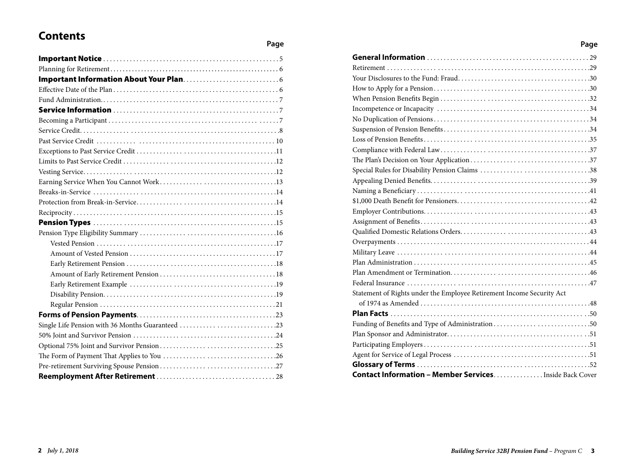# **Contents**

### **Page**

| Single Life Pension with 36 Months Guaranteed 23 |  |
|--------------------------------------------------|--|
|                                                  |  |
|                                                  |  |
|                                                  |  |
|                                                  |  |
|                                                  |  |

| Page                                                                  |  |
|-----------------------------------------------------------------------|--|
|                                                                       |  |
|                                                                       |  |
|                                                                       |  |
|                                                                       |  |
|                                                                       |  |
|                                                                       |  |
|                                                                       |  |
|                                                                       |  |
|                                                                       |  |
|                                                                       |  |
|                                                                       |  |
|                                                                       |  |
|                                                                       |  |
|                                                                       |  |
|                                                                       |  |
|                                                                       |  |
|                                                                       |  |
|                                                                       |  |
|                                                                       |  |
|                                                                       |  |
|                                                                       |  |
|                                                                       |  |
|                                                                       |  |
| Statement of Rights under the Employee Retirement Income Security Act |  |
|                                                                       |  |
|                                                                       |  |
| Funding of Benefits and Type of Administration50                      |  |
|                                                                       |  |
|                                                                       |  |
|                                                                       |  |
|                                                                       |  |
| <b>Contact Information - Member Services</b> Inside Back Cover        |  |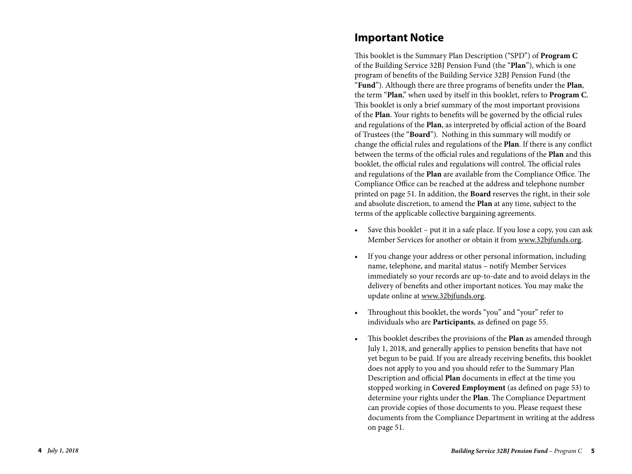## **Important Notice**

This booklet is the Summary Plan Description ("SPD") of **Program C** of the Building Service 32BJ Pension Fund (the "**Plan**"), which is one program of benefits of the Building Service 32BJ Pension Fund (the "**Fund**"). Although there are three programs of benefits under the **Plan**, the term "**Plan**," when used by itself in this booklet, refers to **Program C**. This booklet is only a brief summary of the most important provisions of the **Plan**. Your rights to benefits will be governed by the official rules and regulations of the **Plan**, as interpreted by official action of the Board of Trustees (the "**Board**"). Nothing in this summary will modify or change the official rules and regulations of the **Plan**. If there is any conflict between the terms of the official rules and regulations of the **Plan** and this booklet, the official rules and regulations will control. The official rules and regulations of the **Plan** are available from the Compliance Office. The Compliance Office can be reached at the address and telephone number printed on page 51. In addition, the **Board** reserves the right, in their sole and absolute discretion, to amend the **Plan** at any time, subject to the terms of the applicable collective bargaining agreements.

- Save this booklet put it in a safe place. If you lose a copy, you can ask Member Services for another or obtain it from www.32bjfunds.org.
- If you change your address or other personal information, including name, telephone, and marital status – notify Member Services immediately so your records are up-to-date and to avoid delays in the delivery of benefits and other important notices. You may make the update online at www.32bjfunds.org.
- Throughout this booklet, the words "you" and "your" refer to individuals who are **Participants**, as defined on page 55.
- This booklet describes the provisions of the **Plan** as amended through July 1, 2018, and generally applies to pension benefits that have not yet begun to be paid. If you are already receiving benefits, this booklet does not apply to you and you should refer to the Summary Plan Description and official **Plan** documents in effect at the time you stopped working in **Covered Employment** (as defined on page 53) to determine your rights under the **Plan**. The Compliance Department can provide copies of those documents to you. Please request these documents from the Compliance Department in writing at the address on page 51.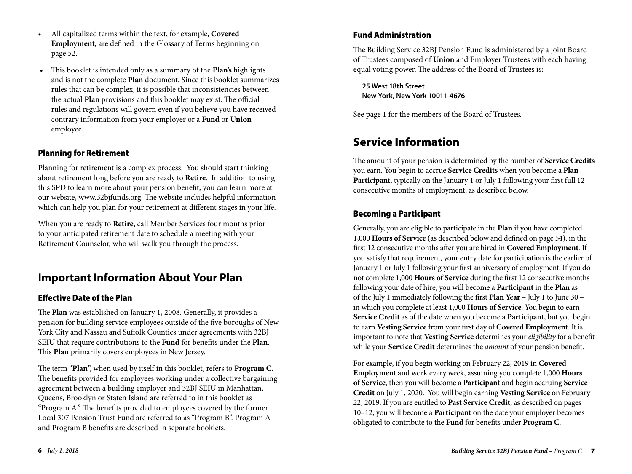- All capitalized terms within the text, for example, **Covered Employment**, are defined in the Glossary of Terms beginning on page 52.
- This booklet is intended only as a summary of the **Plan's** highlights and is not the complete **Plan** document. Since this booklet summarizes rules that can be complex, it is possible that inconsistencies between the actual **Plan** provisions and this booklet may exist. The official rules and regulations will govern even if you believe you have received contrary information from your employer or a **Fund** or **Union** employee.

## Planning for Retirement

Planning for retirement is a complex process. You should start thinking about retirement long before you are ready to **Retire**. In addition to using this SPD to learn more about your pension benefit, you can learn more at our website, www.32bjfunds.org. The website includes helpful information which can help you plan for your retirement at different stages in your life.

When you are ready to **Retire**, call Member Services four months prior to your anticipated retirement date to schedule a meeting with your Retirement Counselor, who will walk you through the process.

# **Important Information About Your Plan**

## Effective Date of the Plan

The **Plan** was established on January 1, 2008. Generally, it provides a pension for building service employees outside of the five boroughs of New York City and Nassau and Suffolk Counties under agreements with 32BJ SEIU that require contributions to the **Fund** for benefits under the **Plan**. This **Plan** primarily covers employees in New Jersey.

The term "**Plan**", when used by itself in this booklet, refers to **Program C**. The benefits provided for employees working under a collective bargaining agreement between a building employer and 32BJ SEIU in Manhattan, Queens, Brooklyn or Staten Island are referred to in this booklet as "Program A." The benefits provided to employees covered by the former Local 307 Pension Trust Fund are referred to as "Program B". Program A and Program B benefits are described in separate booklets.

## Fund Administration

The Building Service 32BJ Pension Fund is administered by a joint Board of Trustees composed of **Union** and Employer Trustees with each having equal voting power. The address of the Board of Trustees is:

**25 West 18th Street New York, New York 10011-4676** 

See page 1 for the members of the Board of Trustees.

# Service Information

The amount of your pension is determined by the number of **Service Credits** you earn. You begin to accrue **Service Credits** when you become a **Plan Participant**, typically on the January 1 or July 1 following your first full 12 consecutive months of employment, as described below.

## Becoming a Participant

Generally, you are eligible to participate in the **Plan** if you have completed 1,000 **Hours of Service** (as described below and defined on page 54), in the first 12 consecutive months after you are hired in **Covered Employment**. If you satisfy that requirement, your entry date for participation is the earlier of January 1 or July 1 following your first anniversary of employment. If you do not complete 1,000 **Hours of Service** during the first 12 consecutive months following your date of hire, you will become a **Participant** in the **Plan** as of the July 1 immediately following the first **Plan Year** – July 1 to June 30 – in which you complete at least 1,000 **Hours of Service**. You begin to earn **Service Credit** as of the date when you become a **Participant**, but you begin to earn **Vesting Service** from your first day of **Covered Employment**. It is important to note that **Vesting Service** determines your *eligibility* for a benefit while your **Service Credit** determines the *amount* of your pension benefit.

For example, if you begin working on February 22, 2019 in **Covered Employment** and work every week, assuming you complete 1,000 **Hours of Service**, then you will become a **Participant** and begin accruing **Service Credit** on July 1, 2020. You will begin earning **Vesting Service** on February 22, 2019. If you are entitled to **Past Service Credit**, as described on pages 10–12, you will become a **Participant** on the date your employer becomes obligated to contribute to the **Fund** for benefits under **Program C**.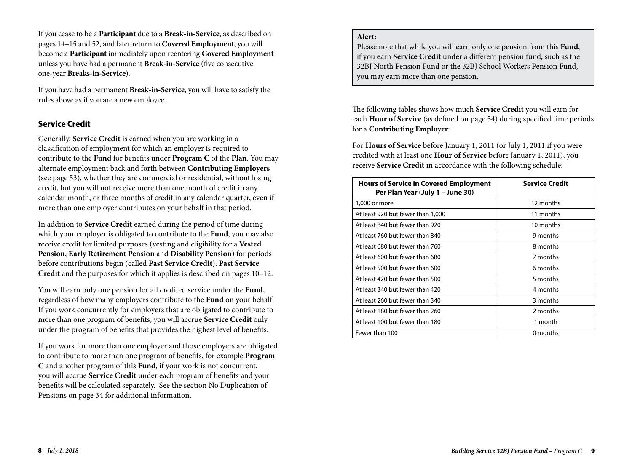If you cease to be a **Participant** due to a **Break-in-Service**, as described on pages 14–15 and 52, and later return to **Covered Employment**, you will become a **Participant** immediately upon reentering **Covered Employment** unless you have had a permanent **Break-in-Service** (five consecutive one-year **Breaks-in-Service**).

If you have had a permanent **Break-in-Service**, you will have to satisfy the rules above as if you are a new employee.

### Service Credit

Generally, **Service Credit** is earned when you are working in a classification of employment for which an employer is required to contribute to the **Fund** for benefits under **Program C** of the **Plan**. You may alternate employment back and forth between **Contributing Employers** (see page 53), whether they are commercial or residential, without losing credit, but you will not receive more than one month of credit in any calendar month, or three months of credit in any calendar quarter, even if more than one employer contributes on your behalf in that period.

In addition to **Service Credit** earned during the period of time during which your employer is obligated to contribute to the **Fund**, you may also receive credit for limited purposes (vesting and eligibility for a **Vested Pension**, **Early Retirement Pension** and **Disability Pension**) for periods before contributions begin (called **Past Service Credit**). **Past Service Credit** and the purposes for which it applies is described on pages 10–12.

You will earn only one pension for all credited service under the **Fund**, regardless of how many employers contribute to the **Fund** on your behalf. If you work concurrently for employers that are obligated to contribute to more than one program of benefits, you will accrue **Service Credit** only under the program of benefits that provides the highest level of benefits.

If you work for more than one employer and those employers are obligated to contribute to more than one program of benefits, for example **Program C** and another program of this **Fund**, if your work is not concurrent, you will accrue **Service Credit** under each program of benefits and your benefits will be calculated separately. See the section No Duplication of Pensions on page 34 for additional information.

### **Alert:**

Please note that while you will earn only one pension from this **Fund**, if you earn **Service Credit** under a different pension fund, such as the 32BJ North Pension Fund or the 32BJ School Workers Pension Fund, you may earn more than one pension.

The following tables shows how much **Service Credit** you will earn for each **Hour of Service** (as defined on page 54) during specified time periods for a **Contributing Employer**:

For **Hours of Service** before January 1, 2011 (or July 1, 2011 if you were credited with at least one **Hour of Service** before January 1, 2011), you receive **Service Credit** in accordance with the following schedule:

| <b>Hours of Service in Covered Employment</b><br>Per Plan Year (July 1 - June 30) | <b>Service Credit</b> |
|-----------------------------------------------------------------------------------|-----------------------|
| 1,000 or more                                                                     | 12 months             |
| At least 920 but fewer than 1,000                                                 | 11 months             |
| At least 840 but fewer than 920                                                   | 10 months             |
| At least 760 but fewer than 840                                                   | 9 months              |
| At least 680 but fewer than 760                                                   | 8 months              |
| At least 600 but fewer than 680                                                   | 7 months              |
| At least 500 but fewer than 600                                                   | 6 months              |
| At least 420 but fewer than 500                                                   | 5 months              |
| At least 340 but fewer than 420                                                   | 4 months              |
| At least 260 but fewer than 340                                                   | 3 months              |
| At least 180 but fewer than 260                                                   | 2 months              |
| At least 100 but fewer than 180                                                   | 1 month               |
| Fewer than 100                                                                    | 0 months              |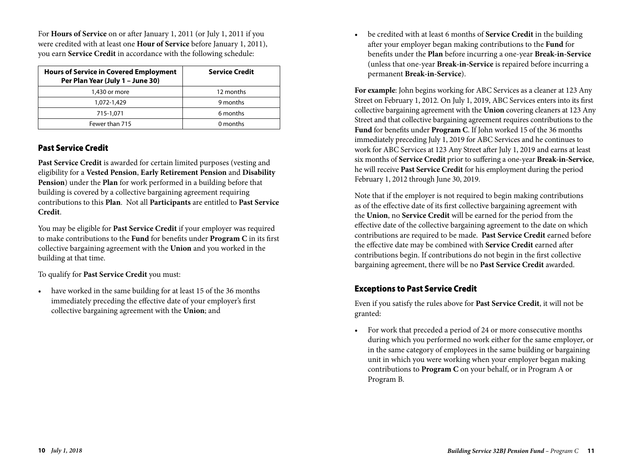For **Hours of Service** on or after January 1, 2011 (or July 1, 2011 if you were credited with at least one **Hour of Service** before January 1, 2011), you earn **Service Credit** in accordance with the following schedule:

| <b>Hours of Service in Covered Employment</b><br>Per Plan Year (July 1 - June 30) | <b>Service Credit</b> |
|-----------------------------------------------------------------------------------|-----------------------|
| 1,430 or more                                                                     | 12 months             |
| 1,072-1,429                                                                       | 9 months              |
| 715-1,071                                                                         | 6 months              |
| Fewer than 715                                                                    | 0 months              |

## Past Service Credit

**Past Service Credit** is awarded for certain limited purposes (vesting and eligibility for a **Vested Pension**, **Early Retirement Pension** and **Disability Pension**) under the **Plan** for work performed in a building before that building is covered by a collective bargaining agreement requiring contributions to this **Plan**. Not all **Participants** are entitled to **Past Service Credit**.

You may be eligible for **Past Service Credit** if your employer was required to make contributions to the **Fund** for benefits under **Program C** in its first collective bargaining agreement with the **Union** and you worked in the building at that time.

To qualify for **Past Service Credit** you must:

• have worked in the same building for at least 15 of the 36 months immediately preceding the effective date of your employer's first collective bargaining agreement with the **Union**; and

• be credited with at least 6 months of **Service Credit** in the building after your employer began making contributions to the **Fund** for benefits under the **Plan** before incurring a one-year **Break-in-Service** (unless that one-year **Break-in-Service** is repaired before incurring a permanent **Break-in-Service**).

**For example**: John begins working for ABC Services as a cleaner at 123 Any Street on February 1, 2012. On July 1, 2019, ABC Services enters into its first collective bargaining agreement with the **Union** covering cleaners at 123 Any Street and that collective bargaining agreement requires contributions to the **Fund** for benefits under **Program C**. If John worked 15 of the 36 months immediately preceding July 1, 2019 for ABC Services and he continues to work for ABC Services at 123 Any Street after July 1, 2019 and earns at least six months of **Service Credit** prior to suffering a one-year **Break-in-Service**, he will receive **Past Service Credit** for his employment during the period February 1, 2012 through June 30, 2019.

Note that if the employer is not required to begin making contributions as of the effective date of its first collective bargaining agreement with the **Union**, no **Service Credit** will be earned for the period from the effective date of the collective bargaining agreement to the date on which contributions are required to be made. **Past Service Credit** earned before the effective date may be combined with **Service Credit** earned after contributions begin. If contributions do not begin in the first collective bargaining agreement, there will be no **Past Service Credit** awarded.

## Exceptions to Past Service Credit

Even if you satisfy the rules above for **Past Service Credit**, it will not be granted:

• For work that preceded a period of 24 or more consecutive months during which you performed no work either for the same employer, or in the same category of employees in the same building or bargaining unit in which you were working when your employer began making contributions to **Program C** on your behalf, or in Program A or Program B.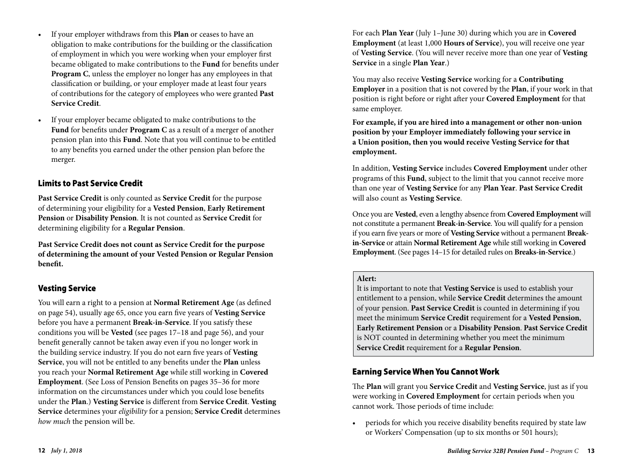- If your employer withdraws from this **Plan** or ceases to have an obligation to make contributions for the building or the classification of employment in which you were working when your employer first became obligated to make contributions to the **Fund** for benefits under **Program C**, unless the employer no longer has any employees in that classification or building, or your employer made at least four years of contributions for the category of employees who were granted **Past Service Credit**.
- If your employer became obligated to make contributions to the **Fund** for benefits under **Program C** as a result of a merger of another pension plan into this **Fund**. Note that you will continue to be entitled to any benefits you earned under the other pension plan before the merger.

### Limits to Past Service Credit

**Past Service Credit** is only counted as **Service Credit** for the purpose of determining your eligibility for a **Vested Pension**, **Early Retirement Pension** or **Disability Pension**. It is not counted as **Service Credit** for determining eligibility for a **Regular Pension**.

**Past Service Credit does not count as Service Credit for the purpose of determining the amount of your Vested Pension or Regular Pension benefit.**

## Vesting Service

You will earn a right to a pension at **Normal Retirement Age** (as defined on page 54), usually age 65, once you earn five years of **Vesting Service** before you have a permanent **Break-in-Service**. If you satisfy these conditions you will be **Vested** (see pages 17–18 and page 56), and your benefit generally cannot be taken away even if you no longer work in the building service industry. If you do not earn five years of **Vesting Service**, you will not be entitled to any benefits under the **Plan** unless you reach your **Normal Retirement Age** while still working in **Covered Employment**. (See Loss of Pension Benefits on pages 35–36 for more information on the circumstances under which you could lose benefits under the **Plan**.) **Vesting Service** is different from **Service Credit**. **Vesting Service** determines your *eligibility* for a pension; **Service Credit** determines *how much* the pension will be.

For each **Plan Year** (July 1–June 30) during which you are in **Covered Employment** (at least 1,000 **Hours of Service**), you will receive one year of **Vesting Service**. (You will never receive more than one year of **Vesting Service** in a single **Plan Year**.)

You may also receive **Vesting Service** working for a **Contributing Employer** in a position that is not covered by the **Plan**, if your work in that position is right before or right after your **Covered Employment** for that same employer.

**For example, if you are hired into a management or other non-union position by your Employer immediately following your service in a Union position, then you would receive Vesting Service for that employment.**

In addition, **Vesting Service** includes **Covered Employment** under other programs of this **Fund**, subject to the limit that you cannot receive more than one year of **Vesting Service** for any **Plan Year**. **Past Service Credit** will also count as **Vesting Service**.

Once you are **Vested**, even a lengthy absence from **Covered Employment** will not constitute a permanent **Break-in-Service**. You will qualify for a pension if you earn five years or more of **Vesting Service** without a permanent **Breakin-Service** or attain **Normal Retirement Age** while still working in **Covered Employment**. (See pages 14–15 for detailed rules on **Breaks-in-Service**.)

### **Alert:**

It is important to note that **Vesting Service** is used to establish your entitlement to a pension, while **Service Credit** determines the amount of your pension. **Past Service Credit** is counted in determining if you meet the minimum **Service Credit** requirement for a **Vested Pension**, **Early Retirement Pension** or a **Disability Pension**. **Past Service Credit** is NOT counted in determining whether you meet the minimum **Service Credit** requirement for a **Regular Pension**.

## Earning Service When You Cannot Work

The **Plan** will grant you **Service Credit** and **Vesting Service**, just as if you were working in **Covered Employment** for certain periods when you cannot work. Those periods of time include:

• periods for which you receive disability benefits required by state law or Workers' Compensation (up to six months or 501 hours);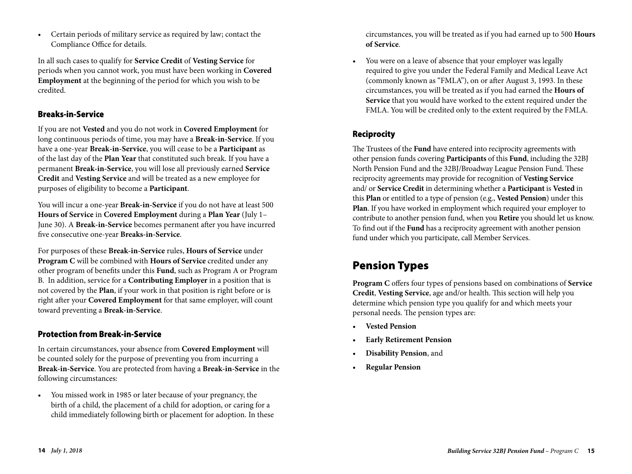• Certain periods of military service as required by law; contact the Compliance Office for details.

In all such cases to qualify for **Service Credit** of **Vesting Service** for periods when you cannot work, you must have been working in **Covered Employment** at the beginning of the period for which you wish to be credited.

## Breaks-in-Service

If you are not **Vested** and you do not work in **Covered Employment** for long continuous periods of time, you may have a **Break-in-Service**. If you have a one-year **Break-in-Service**, you will cease to be a **Participant** as of the last day of the **Plan Year** that constituted such break. If you have a permanent **Break-in-Service**, you will lose all previously earned **Service Credit** and **Vesting Service** and will be treated as a new employee for purposes of eligibility to become a **Participant**.

You will incur a one-year **Break-in-Service** if you do not have at least 500 **Hours of Service** in **Covered Employment** during a **Plan Year** (July 1– June 30). A **Break-in-Service** becomes permanent after you have incurred five consecutive one-year **Breaks-in-Service**.

For purposes of these **Break-in-Service** rules, **Hours of Service** under **Program C** will be combined with **Hours of Service** credited under any other program of benefits under this **Fund**, such as Program A or Program B. In addition, service for a **Contributing Employer** in a position that is not covered by the **Plan**, if your work in that position is right before or is right after your **Covered Employment** for that same employer, will count toward preventing a **Break-in-Service**.

## Protection from Break-in-Service

In certain circumstances, your absence from **Covered Employment** will be counted solely for the purpose of preventing you from incurring a **Break-in-Service**. You are protected from having a **Break-in-Service** in the following circumstances:

• You missed work in 1985 or later because of your pregnancy, the birth of a child, the placement of a child for adoption, or caring for a child immediately following birth or placement for adoption. In these circumstances, you will be treated as if you had earned up to 500 **Hours of Service**.

• You were on a leave of absence that your employer was legally required to give you under the Federal Family and Medical Leave Act (commonly known as "FMLA"), on or after August 3, 1993. In these circumstances, you will be treated as if you had earned the **Hours of Service** that you would have worked to the extent required under the FMLA. You will be credited only to the extent required by the FMLA.

## Reciprocity

The Trustees of the **Fund** have entered into reciprocity agreements with other pension funds covering **Participants** of this **Fund**, including the 32BJ North Pension Fund and the 32BJ/Broadway League Pension Fund. These reciprocity agreements may provide for recognition of **Vesting Service** and/ or **Service Credit** in determining whether a **Participant** is **Vested** in this **Plan** or entitled to a type of pension (e.g., **Vested Pension**) under this **Plan**. If you have worked in employment which required your employer to contribute to another pension fund, when you **Retire** you should let us know. To find out if the **Fund** has a reciprocity agreement with another pension fund under which you participate, call Member Services.

# Pension Types

**Program C** offers four types of pensions based on combinations of **Service Credit**, **Vesting Service**, age and/or health. This section will help you determine which pension type you qualify for and which meets your personal needs. The pension types are:

- **Vested Pension**
- **Early Retirement Pension**
- **Disability Pension**, and
- **Regular Pension**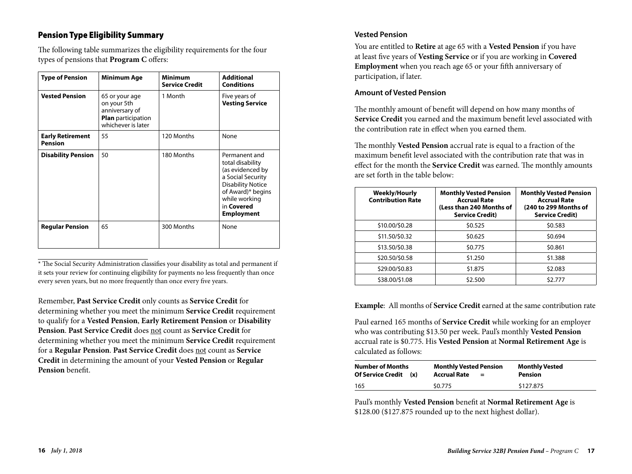## Pension Type Eligibility Summary

The following table summarizes the eligibility requirements for the four types of pensions that **Program C** offers:

| <b>Type of Pension</b>                    | <b>Minimum Age</b>                                                                          | Minimum<br><b>Service Credit</b> | <b>Additional</b><br><b>Conditions</b>                                                                                                                                          |
|-------------------------------------------|---------------------------------------------------------------------------------------------|----------------------------------|---------------------------------------------------------------------------------------------------------------------------------------------------------------------------------|
| <b>Vested Pension</b>                     | 65 or your age<br>on your 5th<br>anniversary of<br>Plan participation<br>whichever is later | 1 Month                          | Five years of<br><b>Vesting Service</b>                                                                                                                                         |
| <b>Early Retirement</b><br><b>Pension</b> | 55                                                                                          | 120 Months                       | None                                                                                                                                                                            |
| <b>Disability Pension</b>                 | 50                                                                                          | 180 Months                       | Permanent and<br>total disability<br>(as evidenced by<br>a Social Security<br><b>Disability Notice</b><br>of Award)* begins<br>while working<br>in Covered<br><b>Employment</b> |
| <b>Regular Pension</b>                    | 65                                                                                          | 300 Months                       | None                                                                                                                                                                            |

\* The Social Security Administration classifies your disability as total and permanent if it sets your review for continuing eligibility for payments no less frequently than once every seven years, but no more frequently than once every five years.

Remember, **Past Service Credit** only counts as **Service Credit** for determining whether you meet the minimum **Service Credit** requirement to qualify for a **Vested Pension**, **Early Retirement Pension** or **Disability Pension**. **Past Service Credit** does not count as **Service Credit** for determining whether you meet the minimum **Service Credit** requirement for a **Regular Pension**. **Past Service Credit** does not count as **Service Credit** in determining the amount of your **Vested Pension** or **Regular Pension** benefit.

#### **Vested Pension**

You are entitled to **Retire** at age 65 with a **Vested Pension** if you have at least five years of **Vesting Service** or if you are working in **Covered Employment** when you reach age 65 or your fifth anniversary of participation, if later.

#### **Amount of Vested Pension**

The monthly amount of benefit will depend on how many months of **Service Credit** you earned and the maximum benefit level associated with the contribution rate in effect when you earned them.

The monthly **Vested Pension** accrual rate is equal to a fraction of the maximum benefit level associated with the contribution rate that was in effect for the month the **Service Credit** was earned. The monthly amounts are set forth in the table below:

| <b>Weekly/Hourly</b><br><b>Contribution Rate</b> | <b>Monthly Vested Pension</b><br><b>Accrual Rate</b><br>(Less than 240 Months of<br><b>Service Credit)</b> | <b>Monthly Vested Pension</b><br><b>Accrual Rate</b><br>(240 to 299 Months of<br><b>Service Credit)</b> |
|--------------------------------------------------|------------------------------------------------------------------------------------------------------------|---------------------------------------------------------------------------------------------------------|
| \$10.00/\$0.28                                   | \$0.525                                                                                                    | \$0.583                                                                                                 |
| \$11.50/\$0.32                                   | \$0.625                                                                                                    | \$0.694                                                                                                 |
| \$13.50/\$0.38                                   | \$0.775                                                                                                    | \$0.861                                                                                                 |
| \$20.50/\$0.58                                   | \$1.250                                                                                                    | \$1.388                                                                                                 |
| \$29.00/\$0.83                                   | \$1.875                                                                                                    | \$2.083                                                                                                 |
| \$38,00/\$1.08                                   | \$2.500                                                                                                    | \$2.777                                                                                                 |

**Example**: All months of **Service Credit** earned at the same contribution rate

Paul earned 165 months of **Service Credit** while working for an employer who was contributing \$13.50 per week. Paul's monthly **Vested Pension** accrual rate is \$0.775. His **Vested Pension** at **Normal Retirement Age** is calculated as follows:

| <b>Number of Months</b><br><b>Of Service Credit</b><br>(x) | <b>Monthly Vested Pension</b><br><b>Accrual Rate</b><br>$=$ | <b>Monthly Vested</b><br><b>Pension</b> |
|------------------------------------------------------------|-------------------------------------------------------------|-----------------------------------------|
| 165                                                        | \$0.775                                                     | \$127.875                               |

Paul's monthly **Vested Pension** benefit at **Normal Retirement Age** is \$128.00 (\$127.875 rounded up to the next highest dollar).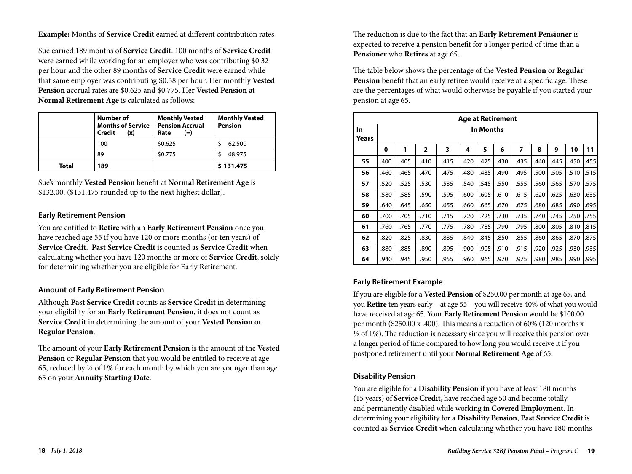**Example:** Months of **Service Credit** earned at different contribution rates

Sue earned 189 months of **Service Credit**. 100 months of **Service Credit** were earned while working for an employer who was contributing \$0.32 per hour and the other 89 months of **Service Credit** were earned while that same employer was contributing \$0.38 per hour. Her monthly **Vested Pension** accrual rates are \$0.625 and \$0.775. Her **Vested Pension** at **Normal Retirement Age** is calculated as follows:

|              | Number of<br><b>Months of Service</b><br>Credit<br>(x) | <b>Monthly Vested</b><br><b>Pension Accrual</b><br>$(=)$<br>Rate | <b>Monthly Vested</b><br><b>Pension</b> |
|--------------|--------------------------------------------------------|------------------------------------------------------------------|-----------------------------------------|
|              | 100                                                    | \$0.625                                                          | 62.500                                  |
|              | 89                                                     | \$0.775                                                          | 68.975                                  |
| <b>Total</b> | 189                                                    |                                                                  | \$131.475                               |

Sue's monthly **Vested Pension** benefit at **Normal Retirement Age** is \$132.00. (\$131.475 rounded up to the next highest dollar).

#### **Early Retirement Pension**

You are entitled to **Retire** with an **Early Retirement Pension** once you have reached age 55 if you have 120 or more months (or ten years) of **Service Credit**. **Past Service Credit** is counted as **Service Credit** when calculating whether you have 120 months or more of **Service Credit**, solely for determining whether you are eligible for Early Retirement.

### **Amount of Early Retirement Pension**

Although **Past Service Credit** counts as **Service Credit** in determining your eligibility for an **Early Retirement Pension**, it does not count as **Service Credit** in determining the amount of your **Vested Pension** or **Regular Pension**.

The amount of your **Early Retirement Pension** is the amount of the **Vested Pension** or **Regular Pension** that you would be entitled to receive at age 65, reduced by  $\frac{1}{2}$  of 1% for each month by which you are younger than age 65 on your **Annuity Starting Date**.

The reduction is due to the fact that an **Early Retirement Pensioner** is expected to receive a pension benefit for a longer period of time than a **Pensioner** who **Retires** at age 65.

The table below shows the percentage of the **Vested Pension** or **Regular Pension** benefit that an early retiree would receive at a specific age. These are the percentages of what would otherwise be payable if you started your pension at age 65.

|             | <b>Age at Retirement</b> |           |                         |      |      |      |      |      |      |      |      |      |
|-------------|--------------------------|-----------|-------------------------|------|------|------|------|------|------|------|------|------|
| In<br>Years |                          | In Months |                         |      |      |      |      |      |      |      |      |      |
|             | 0                        | 1         | $\overline{\mathbf{2}}$ | 3    | 4    | 5    | 6    | 7    | 8    | 9    | 10   | 11   |
| 55          | .400                     | .405      | .410                    | .415 | .420 | .425 | .430 | .435 | .440 | .445 | .450 | .455 |
| 56          | .460                     | .465      | .470                    | .475 | .480 | .485 | .490 | .495 | .500 | .505 | .510 | .515 |
| 57          | .520                     | .525      | .530                    | .535 | .540 | .545 | .550 | .555 | .560 | .565 | .570 | .575 |
| 58          | .580                     | .585      | .590                    | .595 | .600 | .605 | .610 | .615 | .620 | .625 | .630 | .635 |
| 59          | .640                     | .645      | .650                    | .655 | .660 | .665 | .670 | .675 | .680 | .685 | .690 | .695 |
| 60          | .700                     | .705      | .710                    | .715 | .720 | .725 | .730 | .735 | .740 | .745 | .750 | .755 |
| 61          | .760                     | .765      | .770                    | .775 | .780 | .785 | .790 | .795 | .800 | .805 | .810 | .815 |
| 62          | .820                     | .825      | .830                    | .835 | .840 | .845 | .850 | .855 | .860 | .865 | .870 | .875 |
| 63          | .880                     | .885      | .890                    | .895 | .900 | .905 | .910 | .915 | .920 | .925 | .930 | .935 |
| 64          | .940                     | .945      | .950                    | .955 | .960 | .965 | .970 | .975 | .980 | .985 | .990 | .995 |

### **Early Retirement Example**

If you are eligible for a **Vested Pension** of \$250.00 per month at age 65, and you **Retire** ten years early – at age 55 – you will receive 40% of what you would have received at age 65. Your **Early Retirement Pension** would be \$100.00 per month (\$250.00 x .400). This means a reduction of 60% (120 months x  $\frac{1}{2}$  of 1%). The reduction is necessary since you will receive this pension over a longer period of time compared to how long you would receive it if you postponed retirement until your **Normal Retirement Age** of 65.

### **Disability Pension**

You are eligible for a **Disability Pension** if you have at least 180 months (15 years) of **Service Credit**, have reached age 50 and become totally and permanently disabled while working in **Covered Employment**. In determining your eligibility for a **Disability Pension**, **Past Service Credit** is counted as **Service Credit** when calculating whether you have 180 months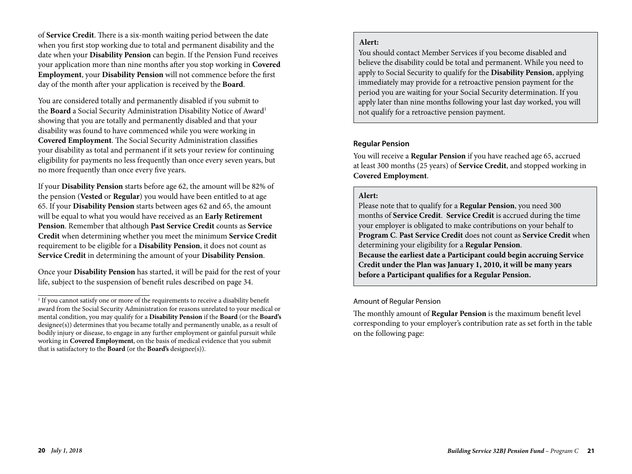of **Service Credit**. There is a six-month waiting period between the date when you first stop working due to total and permanent disability and the date when your **Disability Pension** can begin. If the Pension Fund receives your application more than nine months after you stop working in **Covered Employment**, your **Disability Pension** will not commence before the first day of the month after your application is received by the **Board**.

You are considered totally and permanently disabled if you submit to the **Board** a Social Security Administration Disability Notice of Award<sup>1</sup> showing that you are totally and permanently disabled and that your disability was found to have commenced while you were working in **Covered Employment**. The Social Security Administration classifies your disability as total and permanent if it sets your review for continuing eligibility for payments no less frequently than once every seven years, but no more frequently than once every five years.

If your **Disability Pension** starts before age 62, the amount will be 82% of the pension (**Vested** or **Regular**) you would have been entitled to at age 65. If your **Disability Pension** starts between ages 62 and 65, the amount will be equal to what you would have received as an **Early Retirement Pension**. Remember that although **Past Service Credit** counts as **Service Credit** when determining whether you meet the minimum **Service Credit** requirement to be eligible for a **Disability Pension**, it does not count as **Service Credit** in determining the amount of your **Disability Pension**.

Once your **Disability Pension** has started, it will be paid for the rest of your life, subject to the suspension of benefit rules described on page 34.

### **Alert:**

You should contact Member Services if you become disabled and believe the disability could be total and permanent. While you need to apply to Social Security to qualify for the **Disability Pension**, applying immediately may provide for a retroactive pension payment for the period you are waiting for your Social Security determination. If you apply later than nine months following your last day worked, you will not qualify for a retroactive pension payment.

### **Regular Pension**

You will receive a **Regular Pension** if you have reached age 65, accrued at least 300 months (25 years) of **Service Credit**, and stopped working in **Covered Employment**.

## **Alert:**

Please note that to qualify for a **Regular Pension**, you need 300 months of **Service Credit**. **Service Credit** is accrued during the time your employer is obligated to make contributions on your behalf to **Program C**. **Past Service Credit** does not count as **Service Credit** when determining your eligibility for a **Regular Pension**. **Because the earliest date a Participant could begin accruing Service Credit under the Plan was January 1, 2010, it will be many years before a Participant qualifies for a Regular Pension.**

### Amount of Regular Pension

The monthly amount of **Regular Pension** is the maximum benefit level corresponding to your employer's contribution rate as set forth in the table on the following page:

<sup>&</sup>lt;sup>1</sup> If you cannot satisfy one or more of the requirements to receive a disability benefit award from the Social Security Administration for reasons unrelated to your medical or mental condition, you may qualify for a **Disability Pension** if the **Board** (or the **Board's** designee(s)) determines that you became totally and permanently unable, as a result of bodily injury or disease, to engage in any further employment or gainful pursuit while working in **Covered Employment**, on the basis of medical evidence that you submit that is satisfactory to the **Board** (or the **Board's** designee(s)).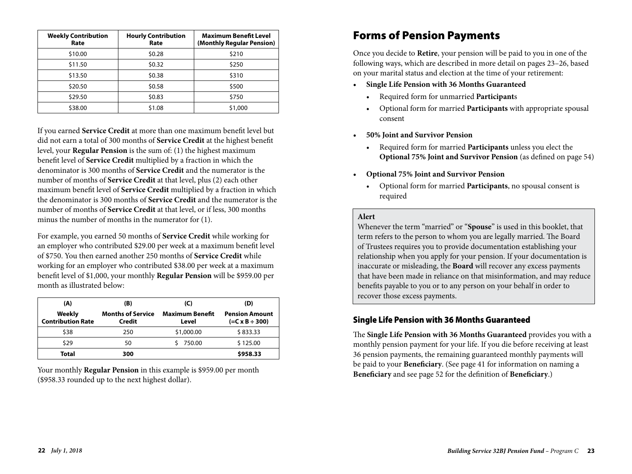| <b>Weekly Contribution</b><br>Rate | <b>Hourly Contribution</b><br>Rate | <b>Maximum Benefit Level</b><br>(Monthly Regular Pension) |
|------------------------------------|------------------------------------|-----------------------------------------------------------|
| \$10.00                            | \$0.28                             | \$210                                                     |
| \$11.50                            | \$0.32                             | \$250                                                     |
| \$13.50                            | \$0.38                             | \$310                                                     |
| \$20.50                            | \$0.58                             | \$500                                                     |
| \$29.50                            | \$0.83                             | \$750                                                     |
| \$38.00                            | \$1.08                             | \$1,000                                                   |

If you earned **Service Credit** at more than one maximum benefit level but did not earn a total of 300 months of **Service Credit** at the highest benefit level, your **Regular Pension** is the sum of: (1) the highest maximum benefit level of **Service Credit** multiplied by a fraction in which the denominator is 300 months of **Service Credit** and the numerator is the number of months of **Service Credit** at that level, plus (2) each other maximum benefit level of **Service Credit** multiplied by a fraction in which the denominator is 300 months of **Service Credit** and the numerator is the number of months of **Service Credit** at that level, or if less, 300 months minus the number of months in the numerator for (1).

For example, you earned 50 months of **Service Credit** while working for an employer who contributed \$29.00 per week at a maximum benefit level of \$750. You then earned another 250 months of **Service Credit** while working for an employer who contributed \$38.00 per week at a maximum benefit level of \$1,000, your monthly **Regular Pension** will be \$959.00 per month as illustrated below:

| (A)                                | (B)                                | (C)                             | (D)                                               |
|------------------------------------|------------------------------------|---------------------------------|---------------------------------------------------|
| Weekly<br><b>Contribution Rate</b> | <b>Months of Service</b><br>Credit | <b>Maximum Benefit</b><br>Level | <b>Pension Amount</b><br>$(=C \times B \div 300)$ |
| \$38                               | 250                                | \$1,000.00                      | \$833.33                                          |
| \$29                               | 50                                 | 750.00                          | \$125.00                                          |
| Total                              | 300                                |                                 | \$958.33                                          |

Your monthly **Regular Pension** in this example is \$959.00 per month (\$958.33 rounded up to the next highest dollar).

# Forms of Pension Payments

Once you decide to **Retire**, your pension will be paid to you in one of the following ways, which are described in more detail on pages 23–26, based on your marital status and election at the time of your retirement:

- **• Single Life Pension with 36 Months Guaranteed**
	- Required form for unmarried **Participant**s
	- Optional form for married **Participants** with appropriate spousal consent
- **• 50% Joint and Survivor Pension** 
	- Required form for married **Participants** unless you elect the **Optional 75% Joint and Survivor Pension** (as defined on page 54)
- **• Optional 75% Joint and Survivor Pension** 
	- Optional form for married **Participants**, no spousal consent is required

## **Alert**

Whenever the term "married" or "**Spouse**" is used in this booklet, that term refers to the person to whom you are legally married. The Board of Trustees requires you to provide documentation establishing your relationship when you apply for your pension. If your documentation is inaccurate or misleading, the **Board** will recover any excess payments that have been made in reliance on that misinformation, and may reduce benefits payable to you or to any person on your behalf in order to recover those excess payments.

## Single Life Pension with 36 Months Guaranteed

The **Single Life Pension with 36 Months Guaranteed** provides you with a monthly pension payment for your life. If you die before receiving at least 36 pension payments, the remaining guaranteed monthly payments will be paid to your **Beneficiary**. (See page 41 for information on naming a **Beneficiary** and see page 52 for the definition of **Beneficiary**.)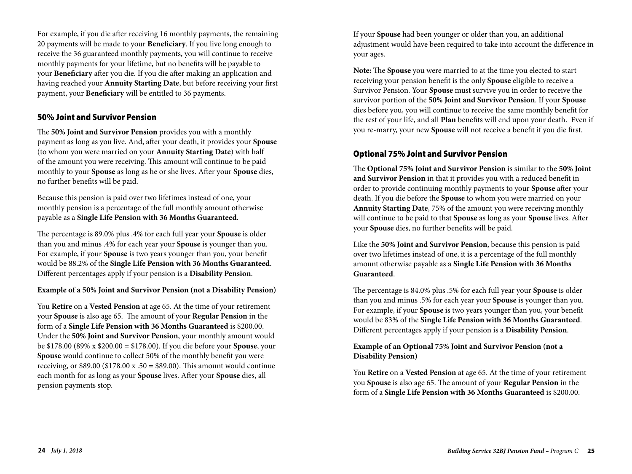For example, if you die after receiving 16 monthly payments, the remaining 20 payments will be made to your **Beneficiary**. If you live long enough to receive the 36 guaranteed monthly payments, you will continue to receive monthly payments for your lifetime, but no benefits will be payable to your **Beneficiary** after you die. If you die after making an application and having reached your **Annuity Starting Date**, but before receiving your first payment, your **Beneficiary** will be entitled to 36 payments.

### 50% Joint and Survivor Pension

The **50% Joint and Survivor Pension** provides you with a monthly payment as long as you live. And, after your death, it provides your **Spouse** (to whom you were married on your **Annuity Starting Date**) with half of the amount you were receiving. This amount will continue to be paid monthly to your **Spouse** as long as he or she lives. After your **Spouse** dies, no further benefits will be paid.

Because this pension is paid over two lifetimes instead of one, your monthly pension is a percentage of the full monthly amount otherwise payable as a **Single Life Pension with 36 Months Guaranteed**.

The percentage is 89.0% plus .4% for each full year your **Spouse** is older than you and minus .4% for each year your **Spouse** is younger than you. For example, if your **Spouse** is two years younger than you, your benefit would be 88.2% of the **Single Life Pension with 36 Months Guaranteed**. Different percentages apply if your pension is a **Disability Pension**.

### **Example of a 50% Joint and Survivor Pension (not a Disability Pension)**

You **Retire** on a **Vested Pension** at age 65. At the time of your retirement your **Spouse** is also age 65. The amount of your **Regular Pension** in the form of a **Single Life Pension with 36 Months Guaranteed** is \$200.00. Under the **50% Joint and Survivor Pension**, your monthly amount would be \$178.00 (89% x \$200.00 = \$178.00). If you die before your **Spouse**, your **Spouse** would continue to collect 50% of the monthly benefit you were receiving, or \$89.00 (\$178.00 x .50 = \$89.00). This amount would continue each month for as long as your **Spouse** lives. After your **Spouse** dies, all pension payments stop.

If your **Spouse** had been younger or older than you, an additional adjustment would have been required to take into account the difference in your ages.

**Note:** The **Spouse** you were married to at the time you elected to start receiving your pension benefit is the only **Spouse** eligible to receive a Survivor Pension. Your **Spouse** must survive you in order to receive the survivor portion of the **50% Joint and Survivor Pension**. If your **Spouse** dies before you, you will continue to receive the same monthly benefit for the rest of your life, and all **Plan** benefits will end upon your death. Even if you re-marry, your new **Spouse** will not receive a benefit if you die first.

### Optional 75% Joint and Survivor Pension

The **Optional 75% Joint and Survivor Pension** is similar to the **50% Joint and Survivor Pension** in that it provides you with a reduced benefit in order to provide continuing monthly payments to your **Spouse** after your death. If you die before the **Spouse** to whom you were married on your **Annuity Starting Date**, 75% of the amount you were receiving monthly will continue to be paid to that **Spouse** as long as your **Spouse** lives. After your **Spouse** dies, no further benefits will be paid.

Like the **50% Joint and Survivor Pension**, because this pension is paid over two lifetimes instead of one, it is a percentage of the full monthly amount otherwise payable as a **Single Life Pension with 36 Months Guaranteed**.

The percentage is 84.0% plus .5% for each full year your **Spouse** is older than you and minus .5% for each year your **Spouse** is younger than you. For example, if your **Spouse** is two years younger than you, your benefit would be 83% of the **Single Life Pension with 36 Months Guaranteed**. Different percentages apply if your pension is a **Disability Pension**.

### **Example of an Optional 75% Joint and Survivor Pension (not a Disability Pension)**

You **Retire** on a **Vested Pension** at age 65. At the time of your retirement you **Spouse** is also age 65. The amount of your **Regular Pension** in the form of a **Single Life Pension with 36 Months Guaranteed** is \$200.00.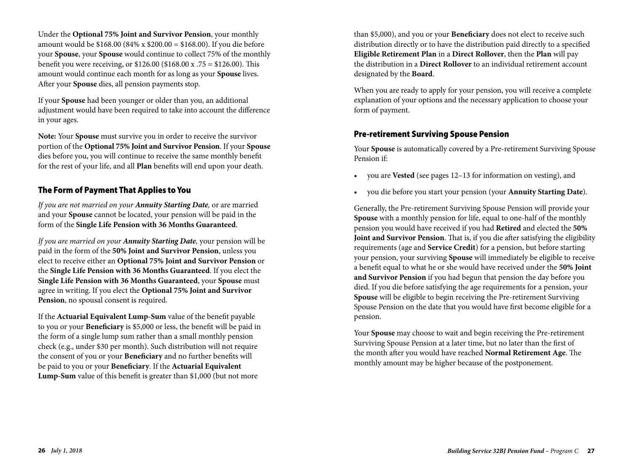Under the **Optional 75% Joint and Survivor Pension**, your monthly amount would be \$168.00 (84% x \$200.00 = \$168.00). If you die before your **Spouse**, your **Spouse** would continue to collect 75% of the monthly benefit you were receiving, or \$126.00 (\$168.00 x .75 = \$126.00). This amount would continue each month for as long as your **Spouse** lives. After your **Spouse** dies, all pension payments stop.

If your **Spouse** had been younger or older than you, an additional adjustment would have been required to take into account the difference in your ages.

**Note:** Your **Spouse** must survive you in order to receive the survivor portion of the **Optional 75% Joint and Survivor Pension**. If your **Spouse** dies before you, you will continue to receive the same monthly benefit for the rest of your life, and all **Plan** benefits will end upon your death.

## The Form of Payment That Applies to You

*If you are not married on your Annuity Starting Date,* or are married and your **Spouse** cannot be located, your pension will be paid in the form of the **Single Life Pension with 36 Months Guaranteed**.

*If you are married on your Annuity Starting Date,* your pension will be paid in the form of the **50% Joint and Survivor Pension**, unless you elect to receive either an **Optional 75% Joint and Survivor Pension** or the **Single Life Pension with 36 Months Guaranteed**. If you elect the **Single Life Pension with 36 Months Guaranteed**, your **Spouse** must agree in writing. If you elect the **Optional 75% Joint and Survivor Pension**, no spousal consent is required.

If the **Actuarial Equivalent Lump-Sum** value of the benefit payable to you or your **Beneficiary** is \$5,000 or less, the benefit will be paid in the form of a single lump sum rather than a small monthly pension check (e.g., under \$30 per month). Such distribution will not require the consent of you or your **Beneficiary** and no further benefits will be paid to you or your **Beneficiary**. If the **Actuarial Equivalent Lump-Sum** value of this benefit is greater than \$1,000 (but not more

than \$5,000), and you or your **Beneficiary** does not elect to receive such distribution directly or to have the distribution paid directly to a specified **Eligible Retirement Plan** in a **Direct Rollover**, then the **Plan** will pay the distribution in a **Direct Rollover** to an individual retirement account designated by the **Board**.

When you are ready to apply for your pension, you will receive a complete explanation of your options and the necessary application to choose your form of payment.

## Pre-retirement Surviving Spouse Pension

Your **Spouse** is automatically covered by a Pre-retirement Surviving Spouse Pension if:

- you are **Vested** (see pages 12–13 for information on vesting), and
- you die before you start your pension (your **Annuity Starting Date**).

Generally, the Pre-retirement Surviving Spouse Pension will provide your **Spouse** with a monthly pension for life, equal to one-half of the monthly pension you would have received if you had **Retired** and elected the **50% Joint and Survivor Pension**. That is, if you die after satisfying the eligibility requirements (age and **Service Credit**) for a pension, but before starting your pension, your surviving **Spouse** will immediately be eligible to receive a benefit equal to what he or she would have received under the **50% Joint and Survivor Pension** if you had begun that pension the day before you died. If you die before satisfying the age requirements for a pension, your **Spouse** will be eligible to begin receiving the Pre-retirement Surviving Spouse Pension on the date that you would have first become eligible for a pension.

Your **Spouse** may choose to wait and begin receiving the Pre-retirement Surviving Spouse Pension at a later time, but no later than the first of the month after you would have reached **Normal Retirement Age**. The monthly amount may be higher because of the postponement.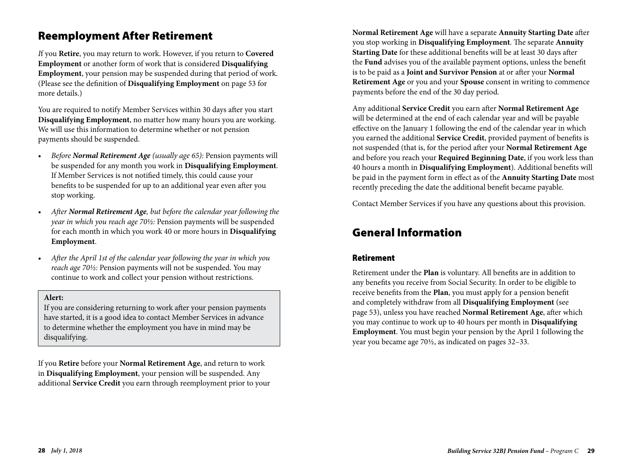## Reemployment After Retirement

*I*f you **Retire**, you may return to work. However, if you return to **Covered Employment** or another form of work that is considered **Disqualifying Employment**, your pension may be suspended during that period of work. (Please see the definition of **Disqualifying Employment** on page 53 for more details.)

You are required to notify Member Services within 30 days after you start **Disqualifying Employment**, no matter how many hours you are working. We will use this information to determine whether or not pension payments should be suspended.

- *Before Normal Retirement Age (usually age 65):* Pension payments will be suspended for any month you work in **Disqualifying Employment**. If Member Services is not notified timely, this could cause your benefits to be suspended for up to an additional year even after you stop working.
- *After Normal Retirement Age, but before the calendar year following the year in which you reach age 70½:* Pension payments will be suspended for each month in which you work 40 or more hours in **Disqualifying Employment**.
- *After the April 1st of the calendar year following the year in which you reach age 70½:* Pension payments will not be suspended. You may continue to work and collect your pension without restrictions.

#### **Alert:**

If you are considering returning to work after your pension payments have started, it is a good idea to contact Member Services in advance to determine whether the employment you have in mind may be disqualifying.

If you **Retire** before your **Normal Retirement Age**, and return to work in **Disqualifying Employment**, your pension will be suspended. Any additional **Service Credit** you earn through reemployment prior to your **Normal Retirement Age** will have a separate **Annuity Starting Date** after you stop working in **Disqualifying Employment**. The separate **Annuity Starting Date** for these additional benefits will be at least 30 days after the **Fund** advises you of the available payment options, unless the benefit is to be paid as a **Joint and Survivor Pension** at or after your **Normal Retirement Age** or you and your **Spouse** consent in writing to commence payments before the end of the 30 day period.

Any additional **Service Credit** you earn after **Normal Retirement Age** will be determined at the end of each calendar year and will be payable effective on the January 1 following the end of the calendar year in which you earned the additional **Service Credit**, provided payment of benefits is not suspended (that is, for the period after your **Normal Retirement Age** and before you reach your **Required Beginning Date**, if you work less than 40 hours a month in **Disqualifying Employment**). Additional benefits will be paid in the payment form in effect as of the **Annuity Starting Date** most recently preceding the date the additional benefit became payable.

Contact Member Services if you have any questions about this provision.

## General Information

## Retirement

Retirement under the **Plan** is voluntary. All benefits are in addition to any benefits you receive from Social Security. In order to be eligible to receive benefits from the **Plan**, you must apply for a pension benefit and completely withdraw from all **Disqualifying Employment** (see page 53), unless you have reached **Normal Retirement Age**, after which you may continue to work up to 40 hours per month in **Disqualifying Employment**. You must begin your pension by the April 1 following the year you became age 70½, as indicated on pages 32–33.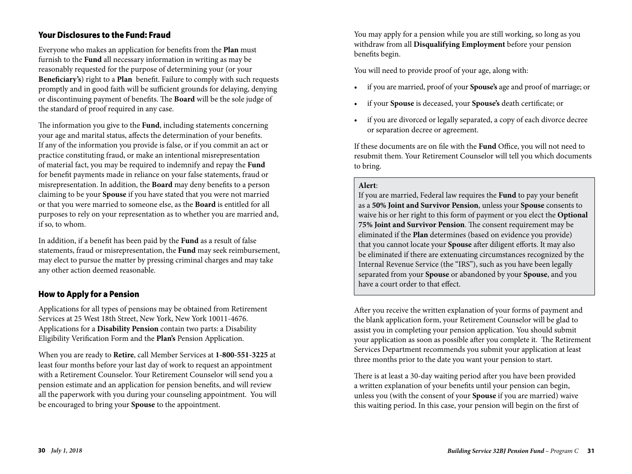## Your Disclosures to the Fund: Fraud

Everyone who makes an application for benefits from the **Plan** must furnish to the **Fund** all necessary information in writing as may be reasonably requested for the purpose of determining your (or your **Beneficiary's**) right to a **Plan** benefit. Failure to comply with such requests promptly and in good faith will be sufficient grounds for delaying, denying or discontinuing payment of benefits. The **Board** will be the sole judge of the standard of proof required in any case.

The information you give to the **Fund**, including statements concerning your age and marital status, affects the determination of your benefits. If any of the information you provide is false, or if you commit an act or practice constituting fraud, or make an intentional misrepresentation of material fact, you may be required to indemnify and repay the **Fund** for benefit payments made in reliance on your false statements, fraud or misrepresentation. In addition, the **Board** may deny benefits to a person claiming to be your **Spouse** if you have stated that you were not married or that you were married to someone else, as the **Board** is entitled for all purposes to rely on your representation as to whether you are married and, if so, to whom.

In addition, if a benefit has been paid by the **Fund** as a result of false statements, fraud or misrepresentation, the **Fund** may seek reimbursement, may elect to pursue the matter by pressing criminal charges and may take any other action deemed reasonable.

## How to Apply for a Pension

Applications for all types of pensions may be obtained from Retirement Services at 25 West 18th Street, New York, New York 10011-4676. Applications for a **Disability Pension** contain two parts: a Disability Eligibility Verification Form and the **Plan's** Pension Application.

When you are ready to **Retire**, call Member Services at **1-800-551-3225** at least four months before your last day of work to request an appointment with a Retirement Counselor. Your Retirement Counselor will send you a pension estimate and an application for pension benefits, and will review all the paperwork with you during your counseling appointment. You will be encouraged to bring your **Spouse** to the appointment.

You may apply for a pension while you are still working, so long as you withdraw from all **Disqualifying Employment** before your pension benefits begin.

You will need to provide proof of your age, along with:

- if you are married, proof of your **Spouse's** age and proof of marriage; or
- if your **Spouse** is deceased, your **Spouse's** death certificate; or
- if you are divorced or legally separated, a copy of each divorce decree or separation decree or agreement.

If these documents are on file with the **Fund** Office, you will not need to resubmit them. Your Retirement Counselor will tell you which documents to bring.

### **Alert**:

If you are married, Federal law requires the **Fund** to pay your benefit as a **50% Joint and Survivor Pension**, unless your **Spouse** consents to waive his or her right to this form of payment or you elect the **Optional 75% Joint and Survivor Pension**. The consent requirement may be eliminated if the **Plan** determines (based on evidence you provide) that you cannot locate your **Spouse** after diligent efforts. It may also be eliminated if there are extenuating circumstances recognized by the Internal Revenue Service (the "IRS"), such as you have been legally separated from your **Spouse** or abandoned by your **Spouse**, and you have a court order to that effect.

After you receive the written explanation of your forms of payment and the blank application form, your Retirement Counselor will be glad to assist you in completing your pension application. You should submit your application as soon as possible after you complete it. The Retirement Services Department recommends you submit your application at least three months prior to the date you want your pension to start.

There is at least a 30-day waiting period after you have been provided a written explanation of your benefits until your pension can begin, unless you (with the consent of your **Spouse** if you are married) waive this waiting period. In this case, your pension will begin on the first of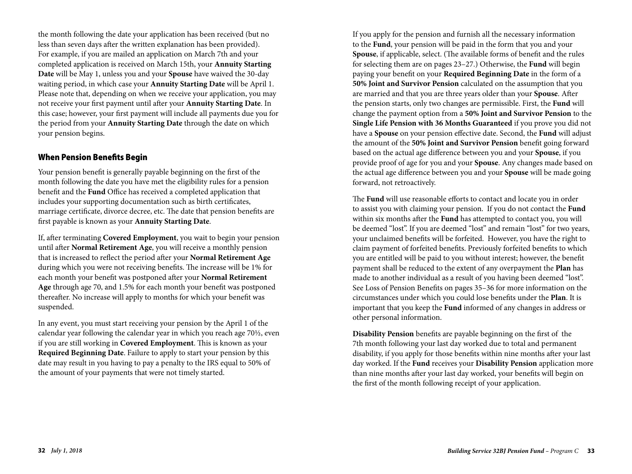the month following the date your application has been received (but no less than seven days after the written explanation has been provided). For example, if you are mailed an application on March 7th and your completed application is received on March 15th, your **Annuity Starting Date** will be May 1, unless you and your **Spouse** have waived the 30-day waiting period, in which case your **Annuity Starting Date** will be April 1. Please note that, depending on when we receive your application, you may not receive your first payment until after your **Annuity Starting Date**. In this case; however, your first payment will include all payments due you for the period from your **Annuity Starting Date** through the date on which your pension begins.

### When Pension Benefits Begin

Your pension benefit is generally payable beginning on the first of the month following the date you have met the eligibility rules for a pension benefit and the **Fund** Office has received a completed application that includes your supporting documentation such as birth certificates, marriage certificate, divorce decree, etc. The date that pension benefits are first payable is known as your **Annuity Starting Date**.

If, after terminating **Covered Employment**, you wait to begin your pension until after **Normal Retirement Age**, you will receive a monthly pension that is increased to reflect the period after your **Normal Retirement Age** during which you were not receiving benefits. The increase will be 1% for each month your benefit was postponed after your **Normal Retirement Age** through age 70, and 1.5% for each month your benefit was postponed thereafter. No increase will apply to months for which your benefit was suspended.

In any event, you must start receiving your pension by the April 1 of the calendar year following the calendar year in which you reach age 70½, even if you are still working in **Covered Employment**. This is known as your **Required Beginning Date**. Failure to apply to start your pension by this date may result in you having to pay a penalty to the IRS equal to 50% of the amount of your payments that were not timely started.

If you apply for the pension and furnish all the necessary information to the **Fund**, your pension will be paid in the form that you and your **Spouse**, if applicable, select. (The available forms of benefit and the rules for selecting them are on pages 23–27.) Otherwise, the **Fund** will begin paying your benefit on your **Required Beginning Date** in the form of a **50% Joint and Survivor Pension** calculated on the assumption that you are married and that you are three years older than your **Spouse**. After the pension starts, only two changes are permissible. First, the **Fund** will change the payment option from a **50% Joint and Survivor Pension** to the **Single Life Pension with 36 Months Guaranteed** if you prove you did not have a **Spouse** on your pension effective date. Second, the **Fund** will adjust the amount of the **50% Joint and Survivor Pension** benefit going forward based on the actual age difference between you and your **Spouse**, if you provide proof of age for you and your **Spouse**. Any changes made based on the actual age difference between you and your **Spouse** will be made going forward, not retroactively.

The **Fund** will use reasonable efforts to contact and locate you in order to assist you with claiming your pension. If you do not contact the **Fund** within six months after the **Fund** has attempted to contact you, you will be deemed "lost". If you are deemed "lost" and remain "lost" for two years, your unclaimed benefits will be forfeited. However, you have the right to claim payment of forfeited benefits. Previously forfeited benefits to which you are entitled will be paid to you without interest; however, the benefit payment shall be reduced to the extent of any overpayment the **Plan** has made to another individual as a result of you having been deemed "lost". See Loss of Pension Benefits on pages 35–36 for more information on the circumstances under which you could lose benefits under the **Plan**. It is important that you keep the **Fund** informed of any changes in address or other personal information.

**Disability Pension** benefits are payable beginning on the first of the 7th month following your last day worked due to total and permanent disability, if you apply for those benefits within nine months after your last day worked. If the **Fund** receives your **Disability Pension** application more than nine months after your last day worked, your benefits will begin on the first of the month following receipt of your application.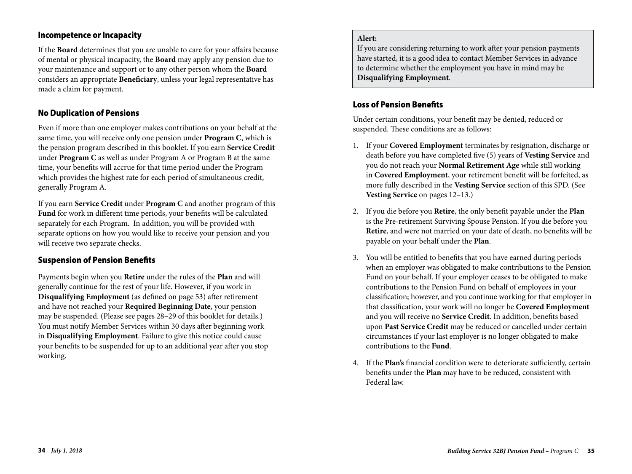### Incompetence or Incapacity

If the **Board** determines that you are unable to care for your affairs because of mental or physical incapacity, the **Board** may apply any pension due to your maintenance and support or to any other person whom the **Board** considers an appropriate **Beneficiary**, unless your legal representative has made a claim for payment.

## No Duplication of Pensions

Even if more than one employer makes contributions on your behalf at the same time, you will receive only one pension under **Program C**, which is the pension program described in this booklet. If you earn **Service Credit** under **Program C** as well as under Program A or Program B at the same time, your benefits will accrue for that time period under the Program which provides the highest rate for each period of simultaneous credit, generally Program A.

If you earn **Service Credit** under **Program C** and another program of this **Fund** for work in different time periods, your benefits will be calculated separately for each Program. In addition, you will be provided with separate options on how you would like to receive your pension and you will receive two separate checks.

### Suspension of Pension Benefits

Payments begin when you **Retire** under the rules of the **Plan** and will generally continue for the rest of your life. However, if you work in **Disqualifying Employment** (as defined on page 53) after retirement and have not reached your **Required Beginning Date**, your pension may be suspended. (Please see pages 28–29 of this booklet for details.) You must notify Member Services within 30 days after beginning work in **Disqualifying Employment**. Failure to give this notice could cause your benefits to be suspended for up to an additional year after you stop working.

### **Alert:**

If you are considering returning to work after your pension payments have started, it is a good idea to contact Member Services in advance to determine whether the employment you have in mind may be **Disqualifying Employment**.

### Loss of Pension Benefits

Under certain conditions, your benefit may be denied, reduced or suspended. These conditions are as follows:

- 1. If your **Covered Employment** terminates by resignation, discharge or death before you have completed five (5) years of **Vesting Service** and you do not reach your **Normal Retirement Age** while still working in **Covered Employment**, your retirement benefit will be forfeited, as more fully described in the **Vesting Service** section of this SPD. (See **Vesting Service** on pages 12–13.)
- 2. If you die before you **Retire**, the only benefit payable under the **Plan** is the Pre-retirement Surviving Spouse Pension. If you die before you **Retire**, and were not married on your date of death, no benefits will be payable on your behalf under the **Plan**.
- 3. You will be entitled to benefits that you have earned during periods when an employer was obligated to make contributions to the Pension Fund on your behalf. If your employer ceases to be obligated to make contributions to the Pension Fund on behalf of employees in your classification; however, and you continue working for that employer in that classification, your work will no longer be **Covered Employment** and you will receive no **Service Credit**. In addition, benefits based upon **Past Service Credit** may be reduced or cancelled under certain circumstances if your last employer is no longer obligated to make contributions to the **Fund**.
- 4. If the **Plan's** financial condition were to deteriorate sufficiently, certain benefits under the **Plan** may have to be reduced, consistent with Federal law.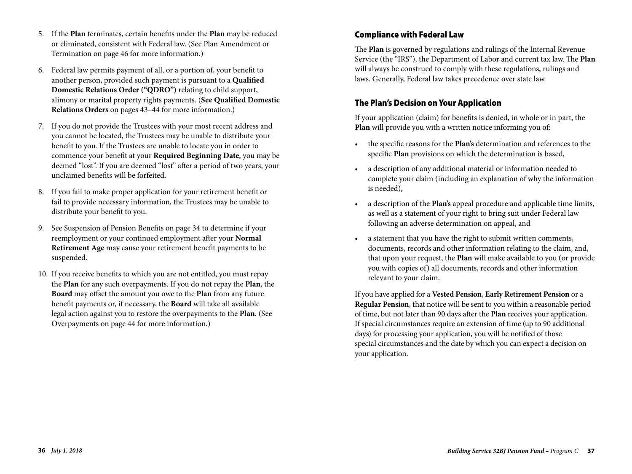- 5. If the **Plan** terminates, certain benefits under the **Plan** may be reduced or eliminated, consistent with Federal law. (See Plan Amendment or Termination on page 46 for more information.)
- 6. Federal law permits payment of all, or a portion of, your benefit to another person, provided such payment is pursuant to a **Qualified Domestic Relations Order ("QDRO")** relating to child support, alimony or marital property rights payments. (**See Qualified Domestic Relations Orders** on pages 43–44 for more information.)
- 7. If you do not provide the Trustees with your most recent address and you cannot be located, the Trustees may be unable to distribute your benefit to you. If the Trustees are unable to locate you in order to commence your benefit at your **Required Beginning Date**, you may be deemed "lost". If you are deemed "lost" after a period of two years, your unclaimed benefits will be forfeited.
- 8. If you fail to make proper application for your retirement benefit or fail to provide necessary information, the Trustees may be unable to distribute your benefit to you.
- 9. See Suspension of Pension Benefits on page 34 to determine if your reemployment or your continued employment after your **Normal Retirement Age** may cause your retirement benefit payments to be suspended.
- 10. If you receive benefits to which you are not entitled, you must repay the **Plan** for any such overpayments. If you do not repay the **Plan**, the **Board** may offset the amount you owe to the **Plan** from any future benefit payments or, if necessary, the **Board** will take all available legal action against you to restore the overpayments to the **Plan**. (See Overpayments on page 44 for more information.)

## Compliance with Federal Law

The **Plan** is governed by regulations and rulings of the Internal Revenue Service (the "IRS"), the Department of Labor and current tax law. The **Plan** will always be construed to comply with these regulations, rulings and laws. Generally, Federal law takes precedence over state law.

## The Plan's Decision on Your Application

If your application (claim) for benefits is denied, in whole or in part, the **Plan** will provide you with a written notice informing you of:

- the specific reasons for the **Plan's** determination and references to the specific **Plan** provisions on which the determination is based,
- a description of any additional material or information needed to complete your claim (including an explanation of why the information is needed),
- a description of the **Plan's** appeal procedure and applicable time limits, as well as a statement of your right to bring suit under Federal law following an adverse determination on appeal, and
- a statement that you have the right to submit written comments, documents, records and other information relating to the claim, and, that upon your request, the **Plan** will make available to you (or provide you with copies of) all documents, records and other information relevant to your claim.

If you have applied for a **Vested Pension**, **Early Retirement Pension** or a **Regular Pension**, that notice will be sent to you within a reasonable period of time, but not later than 90 days after the **Plan** receives your application. If special circumstances require an extension of time (up to 90 additional days) for processing your application, you will be notified of those special circumstances and the date by which you can expect a decision on your application.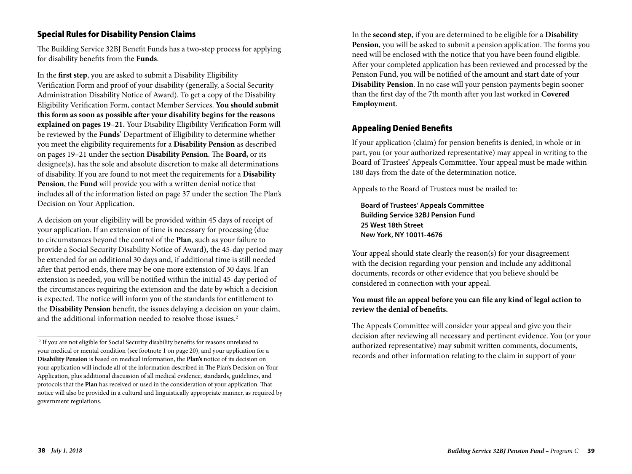## Special Rules for Disability Pension Claims

The Building Service 32BJ Benefit Funds has a two-step process for applying for disability benefits from the **Funds**.

In the **first step**, you are asked to submit a Disability Eligibility Verification Form and proof of your disability (generally, a Social Security Administration Disability Notice of Award). To get a copy of the Disability Eligibility Verification Form, contact Member Services. **You should submit this form as soon as possible after your disability begins for the reasons explained on pages 19–21.** Your Disability Eligibility Verification Form will be reviewed by the **Funds**' Department of Eligibility to determine whether you meet the eligibility requirements for a **Disability Pension** as described on pages 19–21 under the section **Disability Pension**. The **Board,** or its designee(s), has the sole and absolute discretion to make all determinations of disability. If you are found to not meet the requirements for a **Disability Pension**, the **Fund** will provide you with a written denial notice that includes all of the information listed on page 37 under the section The Plan's Decision on Your Application.

A decision on your eligibility will be provided within 45 days of receipt of your application. If an extension of time is necessary for processing (due to circumstances beyond the control of the **Plan**, such as your failure to provide a Social Security Disability Notice of Award), the 45-day period may be extended for an additional 30 days and, if additional time is still needed after that period ends, there may be one more extension of 30 days. If an extension is needed, you will be notified within the initial 45-day period of the circumstances requiring the extension and the date by which a decision is expected. The notice will inform you of the standards for entitlement to the **Disability Pension** benefit, the issues delaying a decision on your claim, and the additional information needed to resolve those issues.<sup>2</sup>

In the **second step**, if you are determined to be eligible for a **Disability Pension**, you will be asked to submit a pension application. The forms you need will be enclosed with the notice that you have been found eligible. After your completed application has been reviewed and processed by the Pension Fund, you will be notified of the amount and start date of your **Disability Pension**. In no case will your pension payments begin sooner than the first day of the 7th month after you last worked in **Covered Employment**.

### Appealing Denied Benefits

If your application (claim) for pension benefits is denied, in whole or in part, you (or your authorized representative) may appeal in writing to the Board of Trustees' Appeals Committee. Your appeal must be made within 180 days from the date of the determination notice.

Appeals to the Board of Trustees must be mailed to:

**Board of Trustees' Appeals Committee Building Service 32BJ Pension Fund 25 West 18th Street New York, NY 10011-4676**

Your appeal should state clearly the reason(s) for your disagreement with the decision regarding your pension and include any additional documents, records or other evidence that you believe should be considered in connection with your appeal.

### **You must file an appeal before you can file any kind of legal action to review the denial of benefits.**

The Appeals Committee will consider your appeal and give you their decision after reviewing all necessary and pertinent evidence. You (or your authorized representative) may submit written comments, documents, records and other information relating to the claim in support of your

<sup>&</sup>lt;sup>2</sup> If you are not eligible for Social Security disability benefits for reasons unrelated to your medical or mental condition (see footnote 1 on page 20), and your application for a **Disability Pension** is based on medical information, the **Plan's** notice of its decision on your application will include all of the information described in The Plan's Decision on Your Application, plus additional discussion of all medical evidence, standards, guidelines, and protocols that the **Plan** has received or used in the consideration of your application. That notice will also be provided in a cultural and linguistically appropriate manner, as required by government regulations.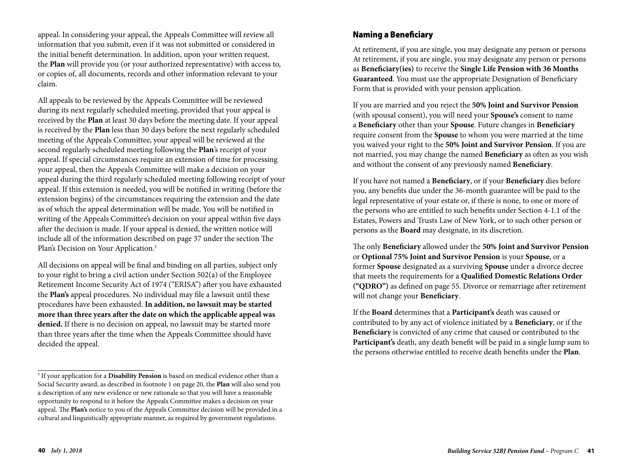appeal. In considering your appeal, the Appeals Committee will review all information that you submit, even if it was not submitted or considered in the initial benefit determination. In addition, upon your written request, the **Plan** will provide you (or your authorized representative) with access to, or copies of, all documents, records and other information relevant to your claim.

All appeals to be reviewed by the Appeals Committee will be reviewed during its next regularly scheduled meeting, provided that your appeal is received by the **Plan** at least 30 days before the meeting date. If your appeal is received by the **Plan** less than 30 days before the next regularly scheduled meeting of the Appeals Committee, your appeal will be reviewed at the second regularly scheduled meeting following the **Plan**'s receipt of your appeal. If special circumstances require an extension of time for processing your appeal, then the Appeals Committee will make a decision on your appeal during the third regularly scheduled meeting following receipt of your appeal. If this extension is needed, you will be notified in writing (before the extension begins) of the circumstances requiring the extension and the date as of which the appeal determination will be made. You will be notified in writing of the Appeals Committee's decision on your appeal within five days after the decision is made. If your appeal is denied, the written notice will include all of the information described on page 37 under the section The Plan's Decision on Your Application.3

All decisions on appeal will be final and binding on all parties, subject only to your right to bring a civil action under Section 502(a) of the Employee Retirement Income Security Act of 1974 ("ERISA") after you have exhausted the **Plan's** appeal procedures. No individual may file a lawsuit until these procedures have been exhausted. **In addition, no lawsuit may be started more than three years after the date on which the applicable appeal was denied.** If there is no decision on appeal, no lawsuit may be started more than three years after the time when the Appeals Committee should have decided the appeal.

## Naming a Beneficiary

At retirement, if you are single, you may designate any person or persons At retirement, if you are single, you may designate any person or persons as **Beneficiary(ies)** to receive the **Single Life Pension with 36 Months Guaranteed**. You must use the appropriate Designation of Beneficiary Form that is provided with your pension application.

If you are married and you reject the **50% Joint and Survivor Pension** (with spousal consent), you will need your **Spouse's** consent to name a **Beneficiary** other than your **Spouse**. Future changes in **Beneficiary** require consent from the **Spouse** to whom you were married at the time you waived your right to the **50% Joint and Survivor Pension**. If you are not married, you may change the named **Beneficiary** as often as you wish and without the consent of any previously named **Beneficiary**.

If you have not named a **Beneficiary**, or if your **Beneficiary** dies before you, any benefits due under the 36-month guarantee will be paid to the legal representative of your estate or, if there is none, to one or more of the persons who are entitled to such benefits under Section 4-1.1 of the Estates, Powers and Trusts Law of New York, or to such other person or persons as the **Board** may designate, in its discretion.

The only **Beneficiary** allowed under the **50% Joint and Survivor Pension** or **Optional 75% Joint and Survivor Pension** is your **Spouse**, or a former **Spouse** designated as a surviving **Spouse** under a divorce decree that meets the requirements for a **Qualified Domestic Relations Order ("QDRO")** as defined on page 55. Divorce or remarriage after retirement will not change your **Beneficiary**.

If the **Board** determines that a **Participant's** death was caused or contributed to by any act of violence initiated by a **Beneficiary**, or if the **Beneficiary** is convicted of any crime that caused or contributed to the **Participant's** death, any death benefit will be paid in a single lump sum to the persons otherwise entitled to receive death benefits under the **Plan**.

<sup>3</sup> If your application for a **Disability Pension** is based on medical evidence other than a Social Security award, as described in footnote 1 on page 20, the **Plan** will also send you a description of any new evidence or new rationale so that you will have a reasonable opportunity to respond to it before the Appeals Committee makes a decision on your appeal. The **Plan's** notice to you of the Appeals Committee decision will be provided in a cultural and linguistically appropriate manner, as required by government regulations.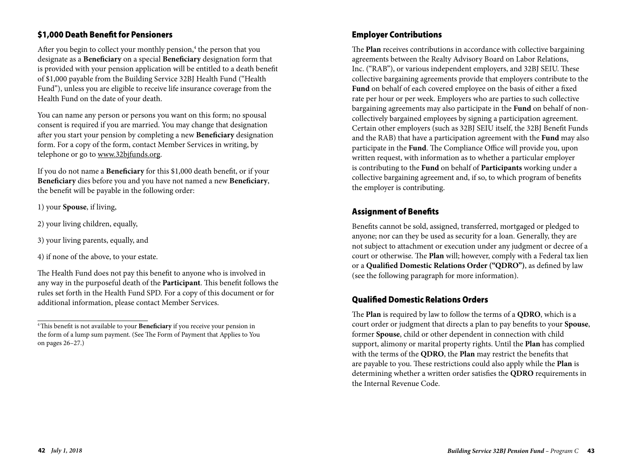## \$1,000 Death Benefit for Pensioners

After you begin to collect your monthly pension,<sup>4</sup> the person that you designate as a **Beneficiary** on a special **Beneficiary** designation form that is provided with your pension application will be entitled to a death benefit of \$1,000 payable from the Building Service 32BJ Health Fund ("Health Fund"), unless you are eligible to receive life insurance coverage from the Health Fund on the date of your death.

You can name any person or persons you want on this form; no spousal consent is required if you are married. You may change that designation after you start your pension by completing a new **Beneficiary** designation form. For a copy of the form, contact Member Services in writing, by telephone or go to www.32bjfunds.org.

If you do not name a **Beneficiary** for this \$1,000 death benefit, or if your **Beneficiary** dies before you and you have not named a new **Beneficiary**, the benefit will be payable in the following order:

1) your **Spouse**, if living,

- 2) your living children, equally,
- 3) your living parents, equally, and

4) if none of the above, to your estate.

The Health Fund does not pay this benefit to anyone who is involved in any way in the purposeful death of the **Participant**. This benefit follows the rules set forth in the Health Fund SPD. For a copy of this document or for additional information, please contact Member Services.

## Employer Contributions

The **Plan** receives contributions in accordance with collective bargaining agreements between the Realty Advisory Board on Labor Relations, Inc. ("RAB"), or various independent employers, and 32BJ SEIU. These collective bargaining agreements provide that employers contribute to the **Fund** on behalf of each covered employee on the basis of either a fixed rate per hour or per week. Employers who are parties to such collective bargaining agreements may also participate in the **Fund** on behalf of noncollectively bargained employees by signing a participation agreement. Certain other employers (such as 32BJ SEIU itself, the 32BJ Benefit Funds and the RAB) that have a participation agreement with the **Fund** may also participate in the **Fund**. The Compliance Office will provide you, upon written request, with information as to whether a particular employer is contributing to the **Fund** on behalf of **Participants** working under a collective bargaining agreement and, if so, to which program of benefits the employer is contributing.

## Assignment of Benefits

Benefits cannot be sold, assigned, transferred, mortgaged or pledged to anyone; nor can they be used as security for a loan. Generally, they are not subject to attachment or execution under any judgment or decree of a court or otherwise. The **Plan** will; however, comply with a Federal tax lien or a **Qualified Domestic Relations Order ("QDRO")**, as defined by law (see the following paragraph for more information).

## Qualified Domestic Relations Orders

The **Plan** is required by law to follow the terms of a **QDRO**, which is a court order or judgment that directs a plan to pay benefits to your **Spouse**, former **Spouse**, child or other dependent in connection with child support, alimony or marital property rights. Until the **Plan** has complied with the terms of the **QDRO**, the **Plan** may restrict the benefits that are payable to you. These restrictions could also apply while the **Plan** is determining whether a written order satisfies the **QDRO** requirements in the Internal Revenue Code.

<sup>4</sup> This benefit is not available to your **Beneficiary** if you receive your pension in the form of a lump sum payment. (See The Form of Payment that Applies to You on pages 26–27.)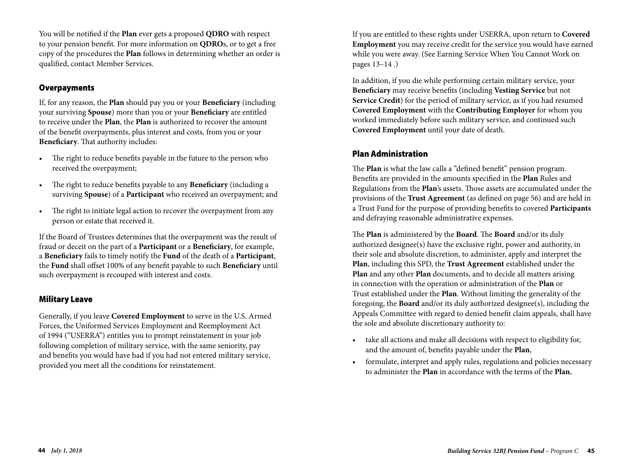You will be notified if the **Plan** ever gets a proposed **QDRO** with respect to your pension benefit. For more information on **QDRO**s, or to get a free copy of the procedures the **Plan** follows in determining whether an order is qualified, contact Member Services.

## **Overpayments**

If, for any reason, the **Plan** should pay you or your **Beneficiary** (including your surviving **Spouse**) more than you or your **Beneficiary** are entitled to receive under the **Plan**, the **Plan** is authorized to recover the amount of the benefit overpayments, plus interest and costs, from you or your **Beneficiary**. That authority includes:

- The right to reduce benefits payable in the future to the person who received the overpayment;
- The right to reduce benefits payable to any **Beneficiary** (including a surviving **Spouse**) of a **Participant** who received an overpayment; and
- The right to initiate legal action to recover the overpayment from any person or estate that received it.

If the Board of Trustees determines that the overpayment was the result of fraud or deceit on the part of a **Participant** or a **Beneficiary**, for example, a **Beneficiary** fails to timely notify the **Fund** of the death of a **Participant**, the **Fund** shall offset 100% of any benefit payable to such **Beneficiary** until such overpayment is recouped with interest and costs.

### Military Leave

Generally, if you leave **Covered Employment** to serve in the U.S. Armed Forces, the Uniformed Services Employment and Reemployment Act of 1994 ("USERRA") entitles you to prompt reinstatement in your job following completion of military service, with the same seniority, pay and benefits you would have had if you had not entered military service, provided you meet all the conditions for reinstatement.

If you are entitled to these rights under USERRA, upon return to **Covered Employment** you may receive credit for the service you would have earned while you were away. (See Earning Service When You Cannot Work on pages 13–14 .)

In addition, if you die while performing certain military service, your **Beneficiary** may receive benefits (including **Vesting Service** but not **Service Credit**) for the period of military service, as if you had resumed **Covered Employment** with the **Contributing Employer** for whom you worked immediately before such military service, and continued such **Covered Employment** until your date of death.

### Plan Administration

The **Plan** is what the law calls a "defined benefit" pension program. Benefits are provided in the amounts specified in the **Plan** Rules and Regulations from the **Plan**'s assets. Those assets are accumulated under the provisions of the **Trust Agreement** (as defined on page 56) and are held in a Trust Fund for the purpose of providing benefits to covered **Participants** and defraying reasonable administrative expenses.

The **Plan** is administered by the **Board**. The **Board** and/or its duly authorized designee(s) have the exclusive right, power and authority, in their sole and absolute discretion, to administer, apply and interpret the **Plan**, including this SPD, the **Trust Agreement** established under the **Plan** and any other **Plan** documents, and to decide all matters arising in connection with the operation or administration of the **Plan** or Trust established under the **Plan**. Without limiting the generality of the foregoing, the **Board** and/or its duly authorized designee(s), including the Appeals Committee with regard to denied benefit claim appeals, shall have the sole and absolute discretionary authority to:

- take all actions and make all decisions with respect to eligibility for, and the amount of, benefits payable under the **Plan**,
- formulate, interpret and apply rules, regulations and policies necessary to administer the **Plan** in accordance with the terms of the **Plan**,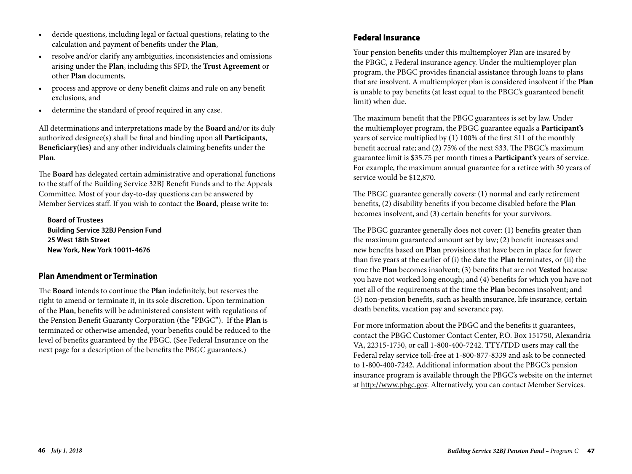- decide questions, including legal or factual questions, relating to the calculation and payment of benefits under the **Plan**,
- resolve and/or clarify any ambiguities, inconsistencies and omissions arising under the **Plan**, including this SPD, the **Trust Agreement** or other **Plan** documents,
- process and approve or deny benefit claims and rule on any benefit exclusions, and
- determine the standard of proof required in any case.

All determinations and interpretations made by the **Board** and/or its duly authorized designee(s) shall be final and binding upon all **Participants**, **Beneficiary(ies)** and any other individuals claiming benefits under the **Plan**.

The **Board** has delegated certain administrative and operational functions to the staff of the Building Service 32BJ Benefit Funds and to the Appeals Committee. Most of your day-to-day questions can be answered by Member Services staff. If you wish to contact the **Board**, please write to:

**Board of Trustees Building Service 32BJ Pension Fund 25 West 18th Street New York, New York 10011-4676**

## **Plan Amendment or Termination**

The **Board** intends to continue the **Plan** indefinitely, but reserves the right to amend or terminate it, in its sole discretion. Upon termination of the **Plan**, benefits will be administered consistent with regulations of the Pension Benefit Guaranty Corporation (the "PBGC"). If the **Plan** is terminated or otherwise amended, your benefits could be reduced to the level of benefits guaranteed by the PBGC. (See Federal Insurance on the next page for a description of the benefits the PBGC guarantees.)

## Federal Insurance

Your pension benefits under this multiemployer Plan are insured by the PBGC, a Federal insurance agency. Under the multiemployer plan program, the PBGC provides financial assistance through loans to plans that are insolvent. A multiemployer plan is considered insolvent if the **Plan** is unable to pay benefits (at least equal to the PBGC's guaranteed benefit limit) when due.

The maximum benefit that the PBGC guarantees is set by law. Under the multiemployer program, the PBGC guarantee equals a **Participant's** years of service multiplied by (1) 100% of the first \$11 of the monthly benefit accrual rate; and (2) 75% of the next \$33. The PBGC's maximum guarantee limit is \$35.75 per month times a **Participant's** years of service. For example, the maximum annual guarantee for a retiree with 30 years of service would be \$12,870.

The PBGC guarantee generally covers: (1) normal and early retirement benefits, (2) disability benefits if you become disabled before the **Plan** becomes insolvent, and (3) certain benefits for your survivors.

The PBGC guarantee generally does not cover: (1) benefits greater than the maximum guaranteed amount set by law; (2) benefit increases and new benefits based on **Plan** provisions that have been in place for fewer than five years at the earlier of (i) the date the **Plan** terminates, or (ii) the time the **Plan** becomes insolvent; (3) benefits that are not **Vested** because you have not worked long enough; and (4) benefits for which you have not met all of the requirements at the time the **Plan** becomes insolvent; and (5) non-pension benefits, such as health insurance, life insurance, certain death benefits, vacation pay and severance pay.

For more information about the PBGC and the benefits it guarantees, contact the PBGC Customer Contact Center, P.O. Box 151750, Alexandria VA, 22315-1750, or call 1-800-400-7242. TTY/TDD users may call the Federal relay service toll-free at 1-800-877-8339 and ask to be connected to 1-800-400-7242. Additional information about the PBGC's pension insurance program is available through the PBGC's website on the internet at http://www.pbgc.gov. Alternatively, you can contact Member Services.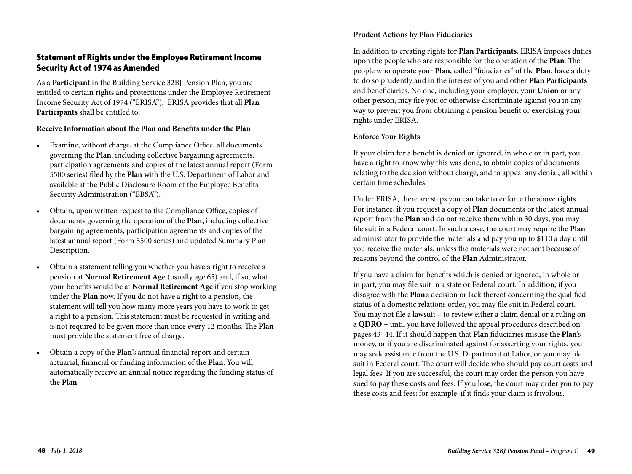## Statement of Rights under the Employee Retirement Income Security Act of 1974 as Amended

As a **Participant** in the Building Service 32BJ Pension Plan, you are entitled to certain rights and protections under the Employee Retirement Income Security Act of 1974 ("ERISA"). ERISA provides that all **Plan Participants** shall be entitled to:

#### **Receive Information about the Plan and Benefits under the Plan**

- Examine, without charge, at the Compliance Office, all documents governing the **Plan**, including collective bargaining agreements, participation agreements and copies of the latest annual report (Form 5500 series) filed by the **Plan** with the U.S. Department of Labor and available at the Public Disclosure Room of the Employee Benefits Security Administration ("EBSA").
- Obtain, upon written request to the Compliance Office, copies of documents governing the operation of the **Plan**, including collective bargaining agreements, participation agreements and copies of the latest annual report (Form 5500 series) and updated Summary Plan Description.
- Obtain a statement telling you whether you have a right to receive a pension at **Normal Retirement Age** (usually age 65) and, if so, what your benefits would be at **Normal Retirement Age** if you stop working under the **Plan** now. If you do not have a right to a pension, the statement will tell you how many more years you have to work to get a right to a pension. This statement must be requested in writing and is not required to be given more than once every 12 months. The **Plan** must provide the statement free of charge.
- Obtain a copy of the **Plan**'s annual financial report and certain actuarial, financial or funding information of the **Plan**. You will automatically receive an annual notice regarding the funding status of the **Plan**.

#### **Prudent Actions by Plan Fiduciaries**

In addition to creating rights for **Plan Participants**, ERISA imposes duties upon the people who are responsible for the operation of the **Plan**. The people who operate your **Plan**, called "fiduciaries" of the **Plan**, have a duty to do so prudently and in the interest of you and other **Plan Participants** and beneficiaries. No one, including your employer, your **Union** or any other person, may fire you or otherwise discriminate against you in any way to prevent you from obtaining a pension benefit or exercising your rights under ERISA.

### **Enforce Your Rights**

If your claim for a benefit is denied or ignored, in whole or in part, you have a right to know why this was done, to obtain copies of documents relating to the decision without charge, and to appeal any denial, all within certain time schedules.

Under ERISA, there are steps you can take to enforce the above rights. For instance, if you request a copy of **Plan** documents or the latest annual report from the **Plan** and do not receive them within 30 days, you may file suit in a Federal court. In such a case, the court may require the **Plan** administrator to provide the materials and pay you up to \$110 a day until you receive the materials, unless the materials were not sent because of reasons beyond the control of the **Plan** Administrator.

If you have a claim for benefits which is denied or ignored, in whole or in part, you may file suit in a state or Federal court. In addition, if you disagree with the **Plan**'s decision or lack thereof concerning the qualified status of a domestic relations order, you may file suit in Federal court. You may not file a lawsuit – to review either a claim denial or a ruling on a **QDRO** – until you have followed the appeal procedures described on pages 43–44. If it should happen that **Plan** fiduciaries misuse the **Plan**'s money, or if you are discriminated against for asserting your rights, you may seek assistance from the U.S. Department of Labor, or you may file suit in Federal court. The court will decide who should pay court costs and legal fees. If you are successful, the court may order the person you have sued to pay these costs and fees. If you lose, the court may order you to pay these costs and fees; for example, if it finds your claim is frivolous.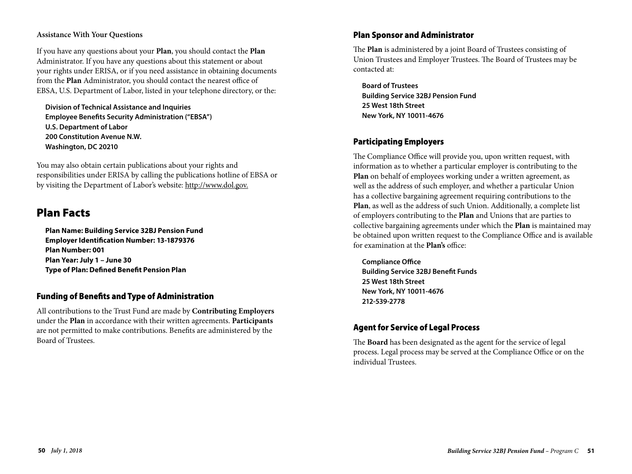### **Assistance With Your Questions**

If you have any questions about your **Plan**, you should contact the **Plan** Administrator. If you have any questions about this statement or about your rights under ERISA, or if you need assistance in obtaining documents from the **Plan** Administrator, you should contact the nearest office of EBSA, U.S. Department of Labor, listed in your telephone directory, or the:

**Division of Technical Assistance and Inquiries Employee Benefits Security Administration ("EBSA") U.S. Department of Labor 200 Constitution Avenue N.W. Washington, DC 20210**

You may also obtain certain publications about your rights and responsibilities under ERISA by calling the publications hotline of EBSA or by visiting the Department of Labor's website: http://www.dol.gov.

## Plan Facts

**Plan Name: Building Service 32BJ Pension Fund Employer Identification Number: 13-1879376 Plan Number: 001 Plan Year: July 1 – June 30 Type of Plan: Defined Benefit Pension Plan**

### Funding of Benefits and Type of Administration

All contributions to the Trust Fund are made by **Contributing Employers** under the **Plan** in accordance with their written agreements. **Participants** are not permitted to make contributions. Benefits are administered by the Board of Trustees.

### Plan Sponsor and Administrator

The **Plan** is administered by a joint Board of Trustees consisting of Union Trustees and Employer Trustees. The Board of Trustees may be contacted at:

**Board of Trustees Building Service 32BJ Pension Fund 25 West 18th Street New York, NY 10011-4676**

## Participating Employers

The Compliance Office will provide you, upon written request, with information as to whether a particular employer is contributing to the **Plan** on behalf of employees working under a written agreement, as well as the address of such employer, and whether a particular Union has a collective bargaining agreement requiring contributions to the **Plan**, as well as the address of such Union. Additionally, a complete list of employers contributing to the **Plan** and Unions that are parties to collective bargaining agreements under which the **Plan** is maintained may be obtained upon written request to the Compliance Office and is available for examination at the **Plan's** office:

**Compliance Office Building Service 32BJ Benefit Funds 25 West 18th Street New York, NY 10011-4676 212-539-2778**

## Agent for Service of Legal Process

The **Board** has been designated as the agent for the service of legal process. Legal process may be served at the Compliance Office or on the individual Trustees.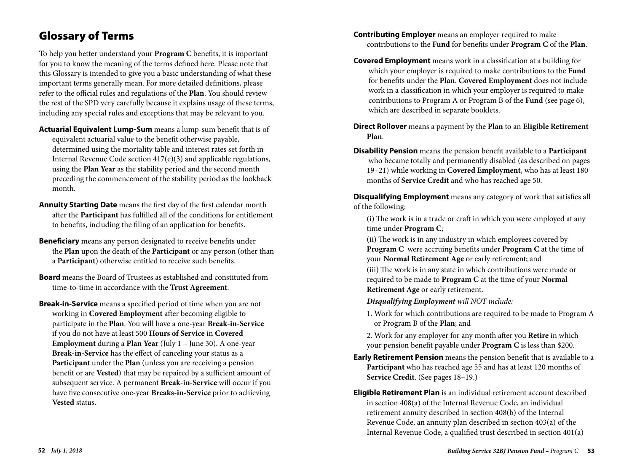# Glossary of Terms

To help you better understand your **Program C** benefits, it is important for you to know the meaning of the terms defined here. Please note that this Glossary is intended to give you a basic understanding of what these important terms generally mean. For more detailed definitions, please refer to the official rules and regulations of the **Plan**. You should review the rest of the SPD very carefully because it explains usage of these terms, including any special rules and exceptions that may be relevant to you.

- **Actuarial Equivalent Lump-Sum** means a lump-sum benefit that is of equivalent actuarial value to the benefit otherwise payable, determined using the mortality table and interest rates set forth in Internal Revenue Code section 417(e)(3) and applicable regulations, using the **Plan Year** as the stability period and the second month preceding the commencement of the stability period as the lookback month.
- **Annuity Starting Date** means the first day of the first calendar month after the **Participant** has fulfilled all of the conditions for entitlement to benefits, including the filing of an application for benefits.
- **Beneficiary** means any person designated to receive benefits under the **Plan** upon the death of the **Participant** or any person (other than a **Participant**) otherwise entitled to receive such benefits.
- **Board** means the Board of Trustees as established and constituted from time-to-time in accordance with the **Trust Agreement**.
- **Break-in-Service** means a specified period of time when you are not working in **Covered Employment** after becoming eligible to participate in the **Plan**. You will have a one-year **Break-in-Service** if you do not have at least 500 **Hours of Service** in **Covered Employment** during a **Plan Year** (July 1 – June 30). A one-year **Break-in-Service** has the effect of canceling your status as a **Participant** under the **Plan** (unless you are receiving a pension benefit or are **Vested**) that may be repaired by a sufficient amount of subsequent service. A permanent **Break-in-Service** will occur if you have five consecutive one-year **Breaks-in-Service** prior to achieving **Vested** status.
- **Contributing Employer** means an employer required to make contributions to the **Fund** for benefits under **Program C** of the **Plan**.
- **Covered Employment** means work in a classification at a building for which your employer is required to make contributions to the **Fund** for benefits under the **Plan**. **Covered Employment** does not include work in a classification in which your employer is required to make contributions to Program A or Program B of the **Fund** (see page 6), which are described in separate booklets.
- **Direct Rollover** means a payment by the **Plan** to an **Eligible Retirement Plan**.
- **Disability Pension** means the pension benefit available to a **Participant** who became totally and permanently disabled (as described on pages 19–21) while working in **Covered Employment**, who has at least 180 months of **Service Credit** and who has reached age 50.

**Disqualifying Employment** means any category of work that satisfies all of the following:

 (i) The work is in a trade or craft in which you were employed at any time under **Program C**;

 (ii) The work is in any industry in which employees covered by **Program C** were accruing benefits under **Program C** at the time of your **Normal Retirement Age** or early retirement; and

 (iii) The work is in any state in which contributions were made or required to be made to **Program C** at the time of your **Normal Retirement Age** or early retirement.

*Disqualifying Employment will NOT include:*

- 1. Work for which contributions are required to be made to Program A or Program B of the **Plan**; and
- 2. Work for any employer for any month after you **Retire** in which your pension benefit payable under **Program C** is less than \$200.
- **Early Retirement Pension** means the pension benefit that is available to a **Participant** who has reached age 55 and has at least 120 months of **Service Credit**. (See pages 18–19.)
- **Eligible Retirement Plan** is an individual retirement account described in section 408(a) of the Internal Revenue Code, an individual retirement annuity described in section 408(b) of the Internal Revenue Code, an annuity plan described in section 403(a) of the Internal Revenue Code, a qualified trust described in section 401(a)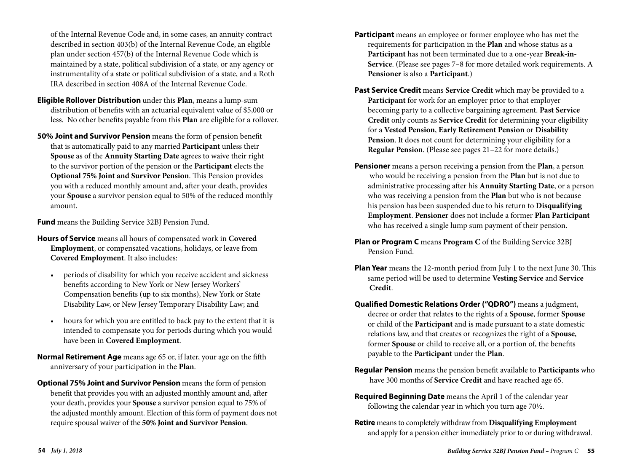of the Internal Revenue Code and, in some cases, an annuity contract described in section 403(b) of the Internal Revenue Code, an eligible plan under section 457(b) of the Internal Revenue Code which is maintained by a state, political subdivision of a state, or any agency or instrumentality of a state or political subdivision of a state, and a Roth IRA described in section 408A of the Internal Revenue Code.

- **Eligible Rollover Distribution** under this **Plan**, means a lump-sum distribution of benefits with an actuarial equivalent value of \$5,000 or less. No other benefits payable from this **Plan** are eligible for a rollover.
- **50% Joint and Survivor Pension** means the form of pension benefit that is automatically paid to any married **Participant** unless their **Spouse** as of the **Annuity Starting Date** agrees to waive their right to the survivor portion of the pension or the **Participant** elects the **Optional 75% Joint and Survivor Pension**. This Pension provides you with a reduced monthly amount and, after your death, provides your **Spouse** a survivor pension equal to 50% of the reduced monthly amount.

**Fund** means the Building Service 32BJ Pension Fund.

- **Hours of Service** means all hours of compensated work in **Covered Employment**, or compensated vacations, holidays, or leave from **Covered Employment**. It also includes:
	- periods of disability for which you receive accident and sickness benefits according to New York or New Jersey Workers' Compensation benefits (up to six months), New York or State Disability Law, or New Jersey Temporary Disability Law; and
	- hours for which you are entitled to back pay to the extent that it is intended to compensate you for periods during which you would have been in **Covered Employment**.
- **Normal Retirement Age** means age 65 or, if later, your age on the fifth anniversary of your participation in the **Plan**.
- **Optional 75% Joint and Survivor Pension** means the form of pension benefit that provides you with an adjusted monthly amount and, after your death, provides your **Spouse** a survivor pension equal to 75% of the adjusted monthly amount. Election of this form of payment does not require spousal waiver of the **50% Joint and Survivor Pension**.
- **Participant** means an employee or former employee who has met the requirements for participation in the **Plan** and whose status as a **Participant** has not been terminated due to a one-year **Break-in-Service**. (Please see pages 7–8 for more detailed work requirements. A **Pensioner** is also a **Participant**.)
- **Past Service Credit** means **Service Credit** which may be provided to a **Participant** for work for an employer prior to that employer becoming party to a collective bargaining agreement. **Past Service Credit** only counts as **Service Credit** for determining your eligibility for a **Vested Pension**, **Early Retirement Pension** or **Disability Pension**. It does not count for determining your eligibility for a **Regular Pension**. (Please see pages 21–22 for more details.)
- **Pensioner** means a person receiving a pension from the **Plan**, a person who would be receiving a pension from the **Plan** but is not due to administrative processing after his **Annuity Starting Date**, or a person who was receiving a pension from the **Plan** but who is not because his pension has been suspended due to his return to **Disqualifying Employment**. **Pensioner** does not include a former **Plan Participant** who has received a single lump sum payment of their pension.
- **Plan or Program C** means **Program C** of the Building Service 32BJ Pension Fund.
- **Plan Year** means the 12-month period from July 1 to the next June 30. This same period will be used to determine **Vesting Service** and **Service Credit**.
- **Qualified Domestic Relations Order ("QDRO")** means a judgment, decree or order that relates to the rights of a **Spouse**, former **Spouse** or child of the **Participant** and is made pursuant to a state domestic relations law, and that creates or recognizes the right of a **Spouse**, former **Spouse** or child to receive all, or a portion of, the benefits payable to the **Participant** under the **Plan**.
- **Regular Pension** means the pension benefit available to **Participants** who have 300 months of **Service Credit** and have reached age 65.
- **Required Beginning Date** means the April 1 of the calendar year following the calendar year in which you turn age 70½.
- **Retire** means to completely withdraw from **Disqualifying Employment** and apply for a pension either immediately prior to or during withdrawal.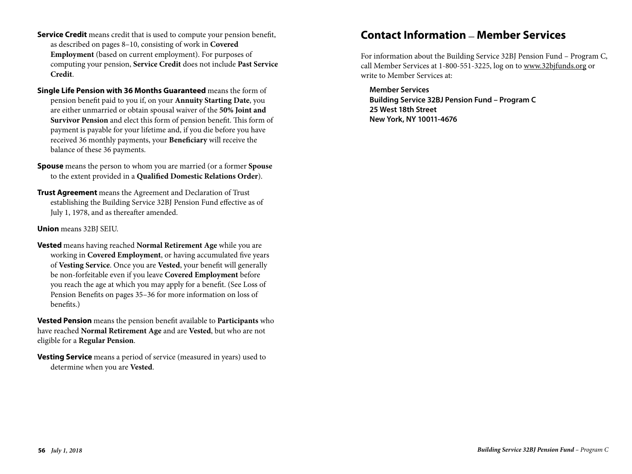- **Service Credit** means credit that is used to compute your pension benefit, as described on pages 8–10, consisting of work in **Covered Employment** (based on current employment). For purposes of computing your pension, Service Credit does not include Past Service **Credit.**
- Single Life Pension with 36 Months Guaranteed means the form of pension benefit paid to you if, on your **Annuity Starting Date**, you are either unmarried or obtain spousal waiver of the 50% Joint and Survivor Pension and elect this form of pension benefit. This form of payment is payable for your lifetime and, if you die before you have received 36 monthly payments, your Beneficiary will receive the balance of these 36 payments. you n, on your **Annu**r cualquier parte de este folleto, la media $\mathbf{r}$
- **Spouse** means the person to whom you are married (or a former Spouse to the extent provided in a **Qualified Domestic Relations Order**). rovided in a **Quanned Domestic Relati**
- **Trust Agreement** means the Agreement and Declaration of Trust establishing the Building Service 32BJ Pension Fund effective as of July 1, 1978, and as thereafter amended. ne Agreement and Dec

**Union** means 32BJ SEIU.

**Vested** means having reached **Normal Retirement Age** while you are working in **Covered Employment**, or having accumulated five years of Vesting Service. Once you are Vested, your benefit will generally **Building Service 32BJ Pension Fund Julian Covered Employment** before being service 32BJ Pension Fund – Program Covered Employment before you reach the age at which you may apply for a benefit. (See Loss of Pension Benefits on pages 35–36 for more information on loss of benefits.) **ested** means having reached **Normal Retirement Age** while you are **DU ICAVE COVETT** 

Vested Pension means the pension benefit available to Participants who have reached **Normal Retirement Age** and are **Vested**, but who are not eligible for a Regular Pension.  $1.800$  for a strugger shkruani tekstoni tekstoni tekstoni tekstoni tekstoni tekstoni tekstoni tekstoni tekstoni tekstoni tekstoni tekstoni tekstoni tekstoni tekstoni tekstoni tekstoni tekstoni tekstoni tekstoni tekstoni

**Vesting Service** means a period of service (measured in years) used to determine when you are **Vested**.  $B = \frac{1}{2}$ 

## **Contact Information \_ Member Services**

For information about the Building Service 32BJ Pension Fund – Program C, call Member Services at 1-800-551-3225, log on to www.32bjfunds.org or write to Member Services at:

**Member Services Building Service 32BJ Pension Fund – Program C 25 West 18th Street New York, NY 10011-4676**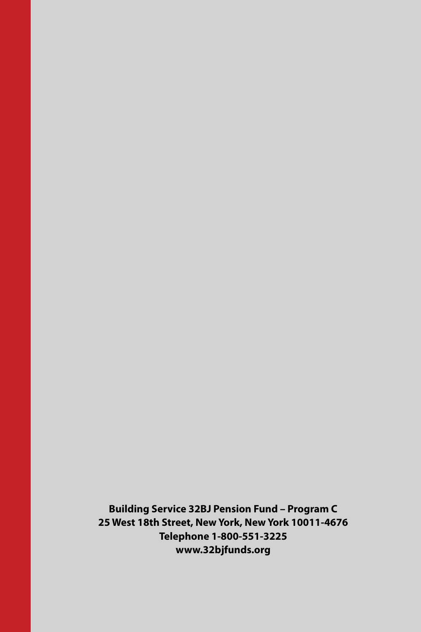**Building Service 32BJ Pension Fund – Program C 25 West 18th Street, New York, New York 10011-4676 Telephone 1-800-551-3225 www.32bjfunds.org**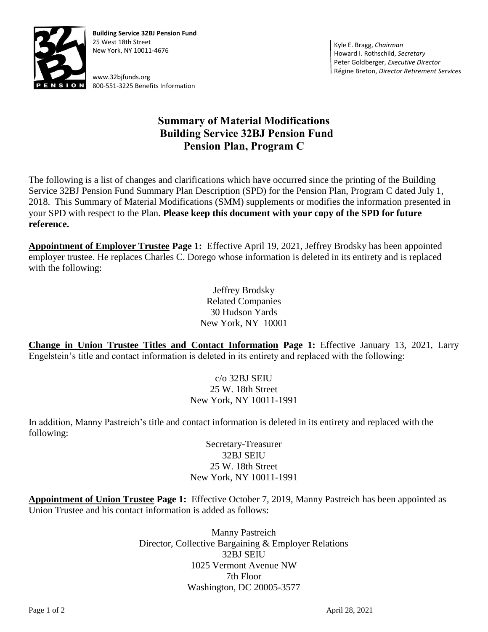

**Building Service 32BJ Pension Fund** 25 West 18th Street New York, NY 10011-4676

www.32bjfunds.org 800-551-3225 Benefits Information

Kyle E. Bragg, *Chairman* Howard I. Rothschild, *Secretary* Peter Goldberger, *Executive Director* Régine Breton, *Director Retirement Services*

## **Summary of Material Modifications Building Service 32BJ Pension Fund Pension Plan, Program C**

The following is a list of changes and clarifications which have occurred since the printing of the Building Service 32BJ Pension Fund Summary Plan Description (SPD) for the Pension Plan, Program C dated July 1, 2018. This Summary of Material Modifications (SMM) supplements or modifies the information presented in your SPD with respect to the Plan. **Please keep this document with your copy of the SPD for future reference.**

**Appointment of Employer Trustee Page 1:** Effective April 19, 2021, Jeffrey Brodsky has been appointed employer trustee. He replaces Charles C. Dorego whose information is deleted in its entirety and is replaced with the following:

> Jeffrey Brodsky Related Companies 30 Hudson Yards New York, NY 10001

**Change in Union Trustee Titles and Contact Information Page 1:** Effective January 13, 2021, Larry Engelstein's title and contact information is deleted in its entirety and replaced with the following:

> c/o 32BJ SEIU 25 W. 18th Street New York, NY 10011-1991

In addition, Manny Pastreich's title and contact information is deleted in its entirety and replaced with the following:

> Secretary-Treasurer 32BJ SEIU 25 W. 18th Street New York, NY 10011-1991

**Appointment of Union Trustee Page 1:** Effective October 7, 2019, Manny Pastreich has been appointed as Union Trustee and his contact information is added as follows:

> Manny Pastreich Director, Collective Bargaining & Employer Relations 32BJ SEIU 1025 Vermont Avenue NW 7th Floor Washington, DC 20005-3577